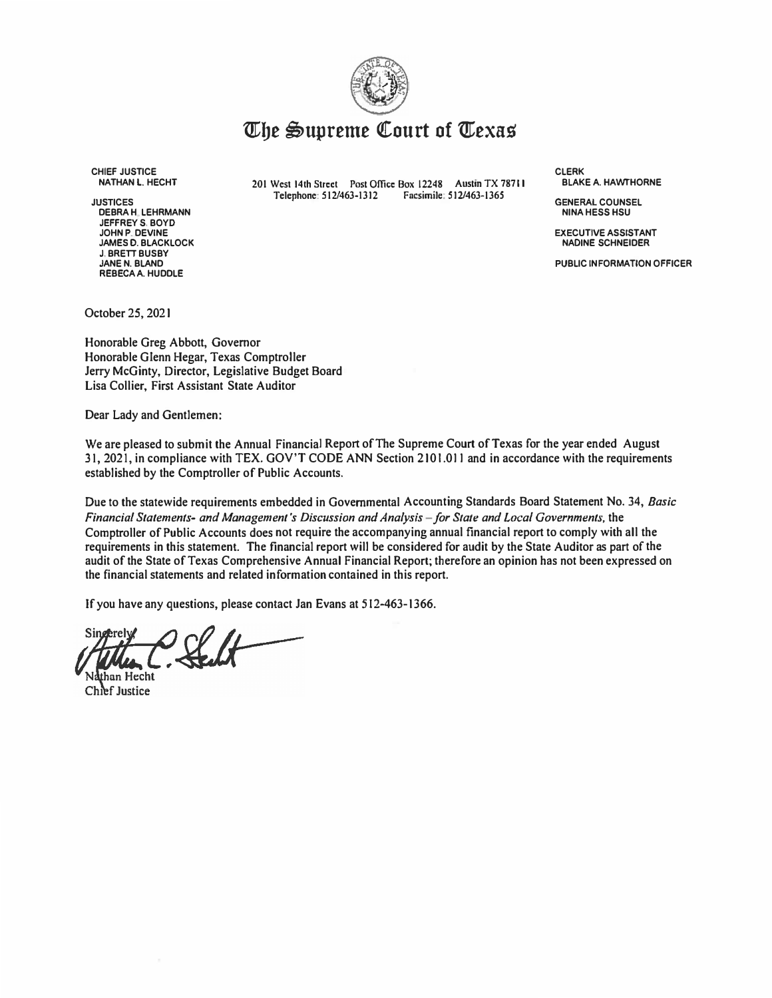

# *<u>Whe Supreme Court of Texas</u>*

**CHIEF JUSTICE NATHAN L. HECHT** 

**JUSTICES DEBRAH LEHRMANN JEFFREYS. BOYD JOHN P. DEVINE JAMES D. BLACKLOCK J. BRETT BUSBY JANE N. BLAND REBECA A. HUDDLE**

**201 West 14th Street Post Office Box 12248 Austin TX 78711 Telephone: 512/463-1312 Facsimile: 512/463-1365** 

**CLERK BLAKE A. HAWTHORNE** 

**GENERAL COUNSEL NINA HESS HSU** 

**EXECUTIVE ASSISTANT NADINE SCHNEIDER** 

**PUBLIC INFORMATION OFFICER** 

**October 25, 2021** 

**Honorable Greg Abbott, Governor Honorable Glenn Hegar, Texas Comptroller Jerry McGinty, Director, Legislative Budget Board Lisa Collier, First Assistant State Auditor** 

**Dear Lady and Gentlemen:** 

**We are pleased to submit the Annual Financial Report ofThe Supreme Court ofTexas for the year ended August 31, 2021, in compliance with TEX. GOV'T CODE ANN Section 2101.011 and in accordance with the requirements established by the Comptroller of Public Accounts.** 

**Due to the statewide requirements embedded in Governmental Accounting Standards Board Statement No. 34,** *Basic Financial Statements- andManagement's Discussion andAnalysis* **-***for State and local Governments,* **the Comptroller of Public Accounts does not require the accompanying annual financial report to comply with all the requirements in this statement. The financial report will be considered for audit by the State Auditor as part of the audit of the State ofTexas Comprehensive Annual Financial Report; therefore an opinion has not been expressed on the financial statements and related information contained in this report.** 

**Ifyou have any questions, please contact Jan Evans at 512-463-1366.** 

han Hecht Chief Justice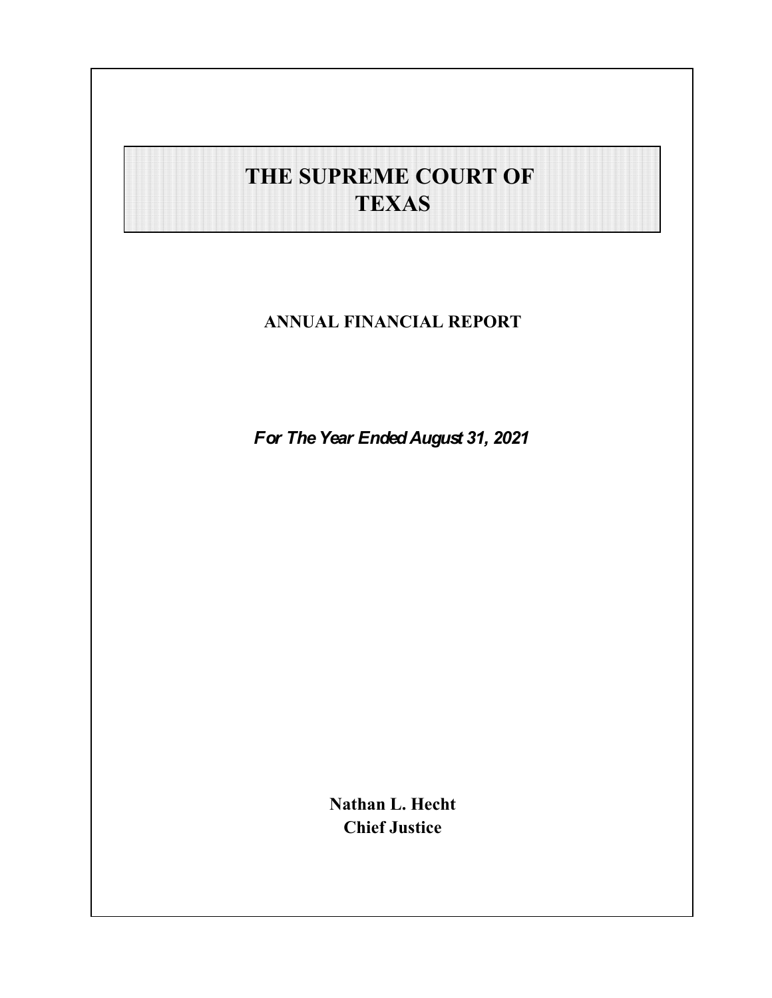# **THE SUPREME COURT OF TEXAS**

**ANNUAL FINANCIAL REPORT**

*For The Year Ended August 31, 2021*

**Nathan L. Hecht Chief Justice**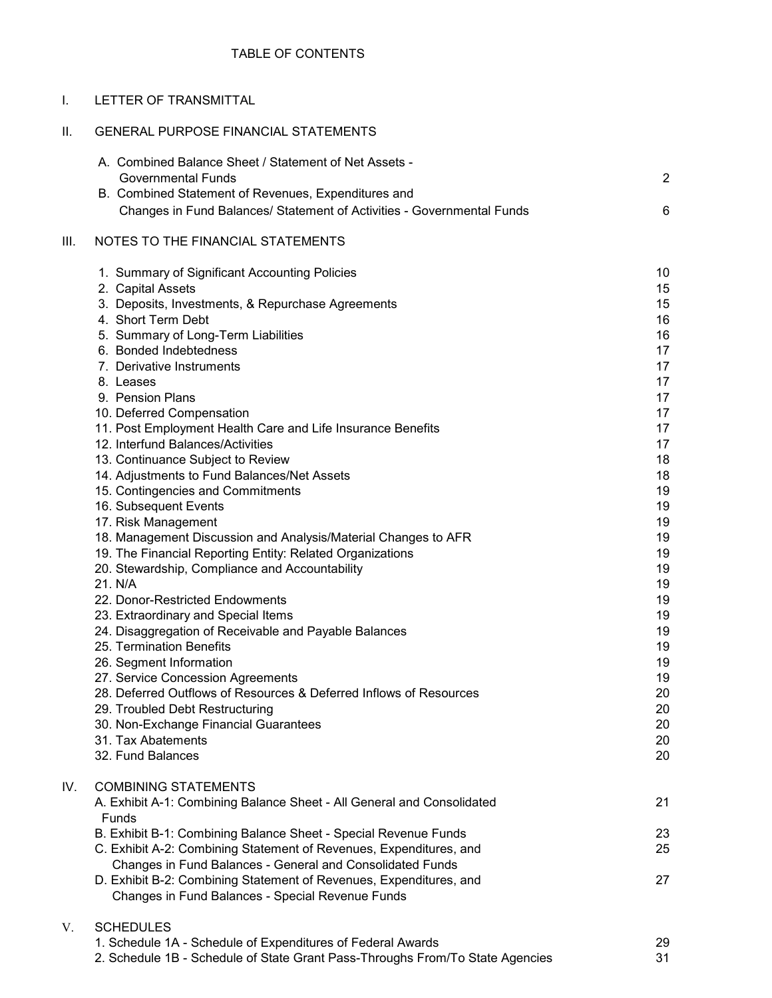| Τ.   | LETTER OF TRANSMITTAL                                                                                   |                |
|------|---------------------------------------------------------------------------------------------------------|----------------|
| Ш.   | <b>GENERAL PURPOSE FINANCIAL STATEMENTS</b>                                                             |                |
|      | A. Combined Balance Sheet / Statement of Net Assets -<br><b>Governmental Funds</b>                      | $\overline{2}$ |
|      | B. Combined Statement of Revenues, Expenditures and                                                     |                |
|      | Changes in Fund Balances/ Statement of Activities - Governmental Funds                                  | 6              |
| III. | NOTES TO THE FINANCIAL STATEMENTS                                                                       |                |
|      | 1. Summary of Significant Accounting Policies                                                           | 10             |
|      | 2. Capital Assets                                                                                       | 15             |
|      | 3. Deposits, Investments, & Repurchase Agreements                                                       | 15             |
|      | 4. Short Term Debt                                                                                      | 16             |
|      | 5. Summary of Long-Term Liabilities                                                                     | 16             |
|      | 6. Bonded Indebtedness                                                                                  | 17             |
|      | 7. Derivative Instruments<br>8. Leases                                                                  | 17<br>17       |
|      | 9. Pension Plans                                                                                        | 17             |
|      | 10. Deferred Compensation                                                                               | 17             |
|      | 11. Post Employment Health Care and Life Insurance Benefits                                             | 17             |
|      | 12. Interfund Balances/Activities                                                                       | 17             |
|      | 13. Continuance Subject to Review                                                                       | 18             |
|      | 14. Adjustments to Fund Balances/Net Assets                                                             | 18             |
|      | 15. Contingencies and Commitments                                                                       | 19             |
|      | 16. Subsequent Events                                                                                   | 19             |
|      | 17. Risk Management<br>18. Management Discussion and Analysis/Material Changes to AFR                   | 19<br>19       |
|      | 19. The Financial Reporting Entity: Related Organizations                                               | 19             |
|      | 20. Stewardship, Compliance and Accountability                                                          | 19             |
|      | 21. N/A                                                                                                 | 19             |
|      | 22. Donor-Restricted Endowments                                                                         | 19             |
|      | 23. Extraordinary and Special Items                                                                     | 19             |
|      | 24. Disaggregation of Receivable and Payable Balances                                                   | 19             |
|      | 25. Termination Benefits                                                                                | 19             |
|      | 26. Segment Information                                                                                 | 19             |
|      | 27. Service Concession Agreements<br>28. Deferred Outflows of Resources & Deferred Inflows of Resources | 19             |
|      | 29. Troubled Debt Restructuring                                                                         | 20<br>20       |
|      | 30. Non-Exchange Financial Guarantees                                                                   | 20             |
|      | 31. Tax Abatements                                                                                      | 20             |
|      | 32. Fund Balances                                                                                       | 20             |
| IV.  | <b>COMBINING STATEMENTS</b>                                                                             |                |
|      | A. Exhibit A-1: Combining Balance Sheet - All General and Consolidated<br><b>Funds</b>                  | 21             |
|      | B. Exhibit B-1: Combining Balance Sheet - Special Revenue Funds                                         | 23             |
|      | C. Exhibit A-2: Combining Statement of Revenues, Expenditures, and                                      | 25             |
|      | Changes in Fund Balances - General and Consolidated Funds                                               |                |
|      | D. Exhibit B-2: Combining Statement of Revenues, Expenditures, and                                      | 27             |
|      | Changes in Fund Balances - Special Revenue Funds                                                        |                |
| V.   | <b>SCHEDULES</b>                                                                                        |                |
|      | 1. Schedule 1A - Schedule of Expenditures of Federal Awards                                             | 29             |
|      | 2. Schedule 1B - Schedule of State Grant Pass-Throughs From/To State Agencies                           | 31             |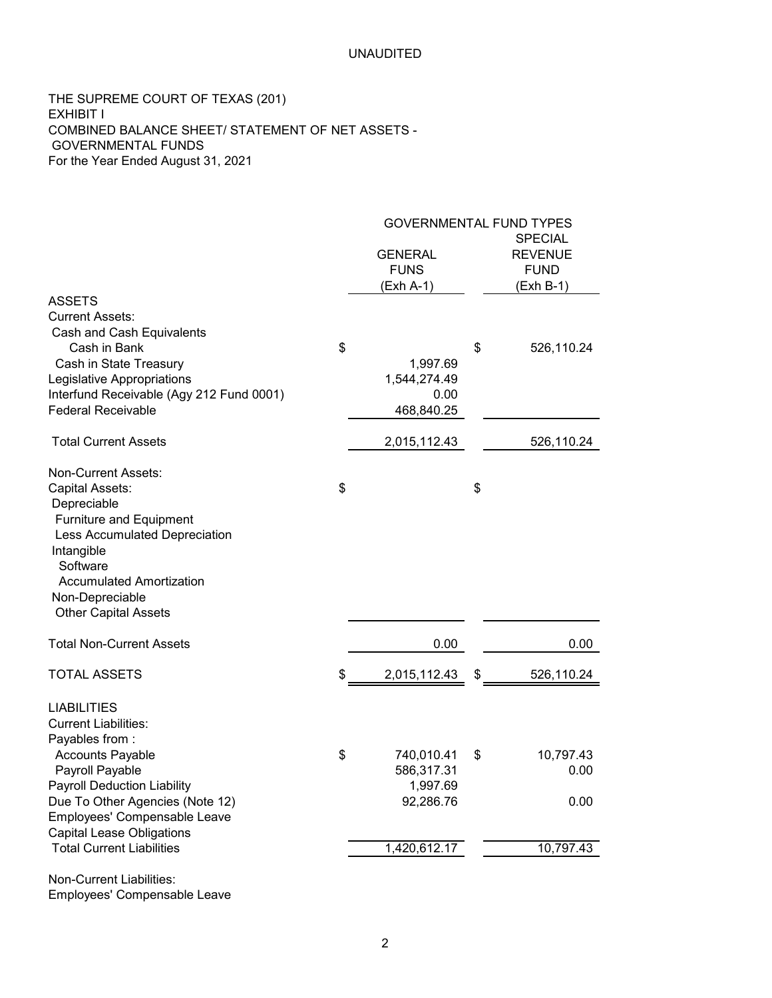THE SUPREME COURT OF TEXAS (201) EXHIBIT I COMBINED BALANCE SHEET/ STATEMENT OF NET ASSETS - GOVERNMENTAL FUNDS For the Year Ended August 31, 2021

|                                                                      |    | <b>GOVERNMENTAL FUND TYPES</b> |    |                |
|----------------------------------------------------------------------|----|--------------------------------|----|----------------|
|                                                                      |    |                                |    | <b>SPECIAL</b> |
|                                                                      |    | <b>GENERAL</b>                 |    | <b>REVENUE</b> |
|                                                                      |    | <b>FUNS</b>                    |    | <b>FUND</b>    |
|                                                                      |    | (Exh A-1)                      |    | (Exh B-1)      |
| <b>ASSETS</b>                                                        |    |                                |    |                |
| <b>Current Assets:</b>                                               |    |                                |    |                |
| Cash and Cash Equivalents<br>Cash in Bank                            | \$ |                                | \$ |                |
| Cash in State Treasury                                               |    | 1,997.69                       |    | 526,110.24     |
| Legislative Appropriations                                           |    | 1,544,274.49                   |    |                |
| Interfund Receivable (Agy 212 Fund 0001)                             |    | 0.00                           |    |                |
| <b>Federal Receivable</b>                                            |    | 468,840.25                     |    |                |
|                                                                      |    |                                |    |                |
| <b>Total Current Assets</b>                                          |    | 2,015,112.43                   |    | 526,110.24     |
| Non-Current Assets:                                                  |    |                                |    |                |
| Capital Assets:                                                      | \$ |                                | \$ |                |
| Depreciable                                                          |    |                                |    |                |
| Furniture and Equipment                                              |    |                                |    |                |
| Less Accumulated Depreciation                                        |    |                                |    |                |
| Intangible                                                           |    |                                |    |                |
| Software                                                             |    |                                |    |                |
| <b>Accumulated Amortization</b>                                      |    |                                |    |                |
| Non-Depreciable                                                      |    |                                |    |                |
| <b>Other Capital Assets</b>                                          |    |                                |    |                |
| <b>Total Non-Current Assets</b>                                      |    | 0.00                           |    | 0.00           |
| <b>TOTAL ASSETS</b>                                                  | \$ | 2,015,112.43                   | \$ | 526,110.24     |
|                                                                      |    |                                |    |                |
| <b>LIABILITIES</b>                                                   |    |                                |    |                |
| <b>Current Liabilities:</b>                                          |    |                                |    |                |
| Payables from:                                                       |    |                                |    |                |
| <b>Accounts Payable</b>                                              | \$ | 740,010.41                     | \$ | 10,797.43      |
| Payroll Payable                                                      |    | 586,317.31                     |    | 0.00           |
| <b>Payroll Deduction Liability</b>                                   |    | 1,997.69                       |    |                |
| Due To Other Agencies (Note 12)                                      |    | 92,286.76                      |    | 0.00           |
| Employees' Compensable Leave                                         |    |                                |    |                |
| <b>Capital Lease Obligations</b><br><b>Total Current Liabilities</b> |    | 1,420,612.17                   |    | 10,797.43      |
|                                                                      |    |                                |    |                |
| Non-Current Liabilities:                                             |    |                                |    |                |

Employees' Compensable Leave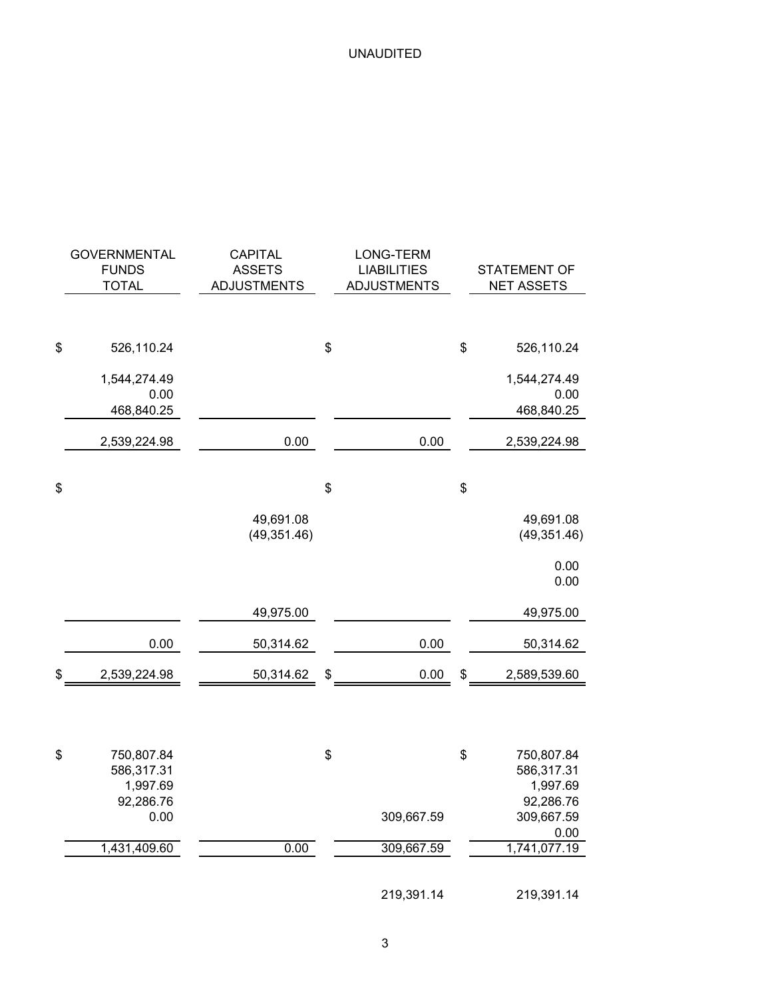| <b>GOVERNMENTAL</b><br><b>FUNDS</b><br><b>TOTAL</b>     | <b>CAPITAL</b><br><b>ASSETS</b><br><b>ADJUSTMENTS</b> | LONG-TERM<br><b>LIABILITIES</b><br><b>ADJUSTMENTS</b> | <b>STATEMENT OF</b><br><b>NET ASSETS</b>                |
|---------------------------------------------------------|-------------------------------------------------------|-------------------------------------------------------|---------------------------------------------------------|
|                                                         |                                                       |                                                       |                                                         |
| \$<br>526,110.24                                        |                                                       | \$                                                    | \$<br>526,110.24                                        |
| 1,544,274.49<br>0.00<br>468,840.25                      |                                                       |                                                       | 1,544,274.49<br>0.00<br>468,840.25                      |
| 2,539,224.98                                            | 0.00                                                  | 0.00                                                  | 2,539,224.98                                            |
| \$                                                      |                                                       | \$                                                    | \$                                                      |
|                                                         | 49,691.08<br>(49, 351.46)                             |                                                       | 49,691.08<br>(49, 351.46)                               |
|                                                         |                                                       |                                                       | 0.00<br>0.00                                            |
|                                                         | 49,975.00                                             |                                                       | 49,975.00                                               |
| 0.00                                                    | 50,314.62                                             | 0.00                                                  | 50,314.62                                               |
| \$<br>2,539,224.98                                      | 50,314.62                                             | \$<br>0.00                                            | \$<br>2,589,539.60                                      |
|                                                         |                                                       |                                                       |                                                         |
| \$<br>750,807.84<br>586,317.31<br>1,997.69<br>92,286.76 |                                                       | \$                                                    | \$<br>750,807.84<br>586,317.31<br>1,997.69<br>92,286.76 |
| 0.00                                                    |                                                       | 309,667.59                                            | 309,667.59                                              |
| 1,431,409.60                                            | 0.00                                                  | 309,667.59                                            | 0.00<br>1,741,077.19                                    |
|                                                         |                                                       | 219,391.14                                            | 219,391.14                                              |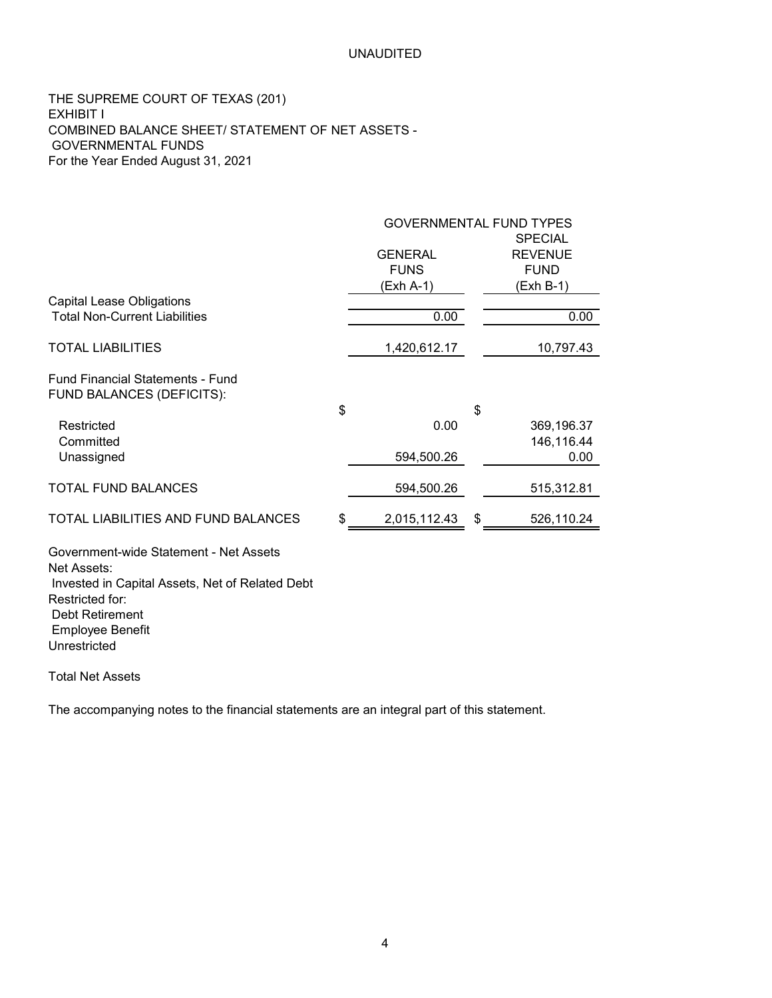THE SUPREME COURT OF TEXAS (201) EXHIBIT I COMBINED BALANCE SHEET/ STATEMENT OF NET ASSETS - GOVERNMENTAL FUNDS For the Year Ended August 31, 2021

|                                                                                                                             | <b>GOVERNMENTAL FUND TYPES</b> |    |                                                 |  |  |  |
|-----------------------------------------------------------------------------------------------------------------------------|--------------------------------|----|-------------------------------------------------|--|--|--|
|                                                                                                                             | <b>GENERAL</b><br><b>FUNS</b>  |    | <b>SPECIAL</b><br><b>REVENUE</b><br><b>FUND</b> |  |  |  |
|                                                                                                                             | (Exh A-1)                      |    | (Exh B-1)                                       |  |  |  |
| <b>Capital Lease Obligations</b><br><b>Total Non-Current Liabilities</b>                                                    | 0.00                           |    | 0.00                                            |  |  |  |
| <b>TOTAL LIABILITIES</b>                                                                                                    | 1,420,612.17                   |    | 10,797.43                                       |  |  |  |
| <b>Fund Financial Statements - Fund</b><br>FUND BALANCES (DEFICITS):                                                        |                                |    |                                                 |  |  |  |
| Restricted<br>Committed                                                                                                     | \$<br>0.00                     | \$ | 369,196.37<br>146,116.44                        |  |  |  |
| Unassigned                                                                                                                  | 594,500.26                     |    | 0.00                                            |  |  |  |
| <b>TOTAL FUND BALANCES</b>                                                                                                  | 594,500.26                     |    | 515,312.81                                      |  |  |  |
| <b>TOTAL LIABILITIES AND FUND BALANCES</b>                                                                                  | \$<br>2,015,112.43             | \$ | 526,110.24                                      |  |  |  |
| Government-wide Statement - Net Assets<br>Net Assets:<br>Invested in Capital Assets, Net of Related Debt<br>Restricted for: |                                |    |                                                 |  |  |  |
| <b>Debt Retirement</b><br><b>Employee Benefit</b><br>Unrestricted                                                           |                                |    |                                                 |  |  |  |

Total Net Assets

The accompanying notes to the financial statements are an integral part of this statement.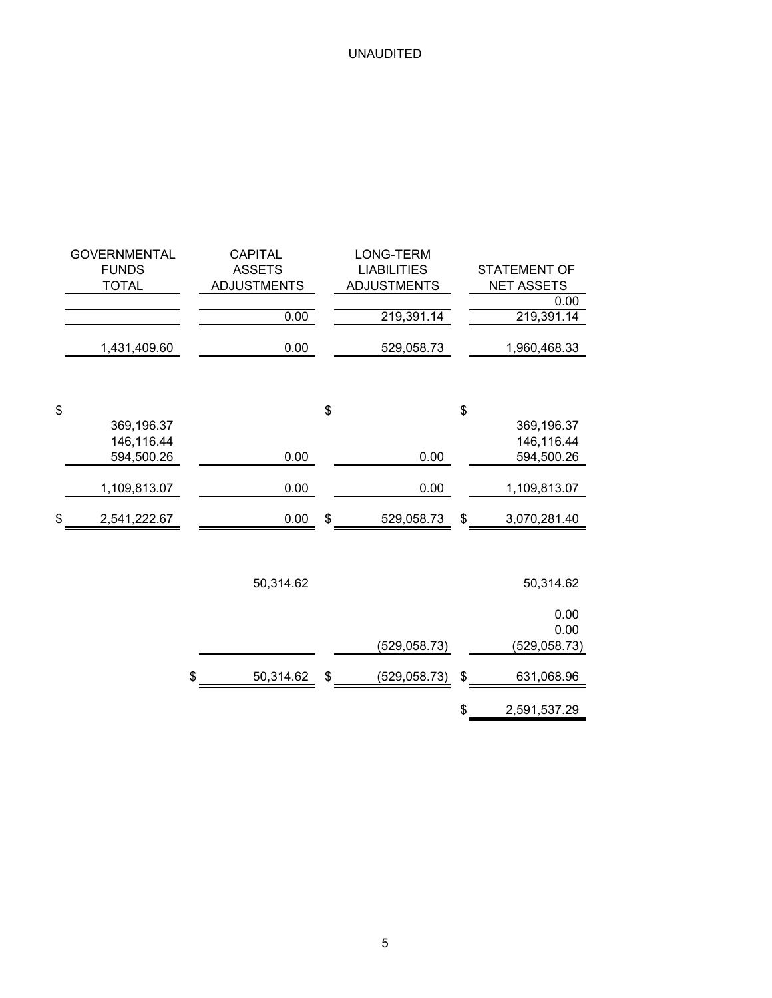| <b>GOVERNMENTAL</b><br><b>FUNDS</b><br><b>TOTAL</b><br>1,431,409.60 |                          | <b>CAPITAL</b><br><b>ASSETS</b><br><b>ADJUSTMENTS</b><br>0.00<br>0.00 | LONG-TERM<br><b>LIABILITIES</b><br><b>ADJUSTMENTS</b><br>219,391.14<br>529,058.73 | <b>STATEMENT OF</b><br><b>NET ASSETS</b><br>0.00<br>219,391.14<br>1,960,468.33 |
|---------------------------------------------------------------------|--------------------------|-----------------------------------------------------------------------|-----------------------------------------------------------------------------------|--------------------------------------------------------------------------------|
|                                                                     |                          |                                                                       |                                                                                   |                                                                                |
| \$                                                                  |                          |                                                                       | \$                                                                                | \$                                                                             |
|                                                                     | 369,196.37<br>146,116.44 |                                                                       |                                                                                   | 369,196.37<br>146,116.44                                                       |
|                                                                     | 594,500.26               | 0.00                                                                  | 0.00                                                                              | 594,500.26                                                                     |
|                                                                     |                          |                                                                       |                                                                                   |                                                                                |
| 1,109,813.07                                                        |                          | 0.00                                                                  | 0.00                                                                              | 1,109,813.07                                                                   |
| \$<br>2,541,222.67                                                  |                          | 0.00                                                                  | \$<br>529,058.73                                                                  | \$<br>3,070,281.40                                                             |
|                                                                     |                          |                                                                       |                                                                                   |                                                                                |
|                                                                     |                          | 50,314.62                                                             |                                                                                   | 50,314.62                                                                      |
|                                                                     |                          |                                                                       |                                                                                   | 0.00<br>0.00                                                                   |
|                                                                     |                          |                                                                       | (529, 058.73)                                                                     | (529, 058.73)                                                                  |
|                                                                     | \$                       | 50,314.62                                                             | \$<br>(529, 058.73)                                                               | \$<br>631,068.96                                                               |
|                                                                     |                          |                                                                       |                                                                                   | \$<br>2,591,537.29                                                             |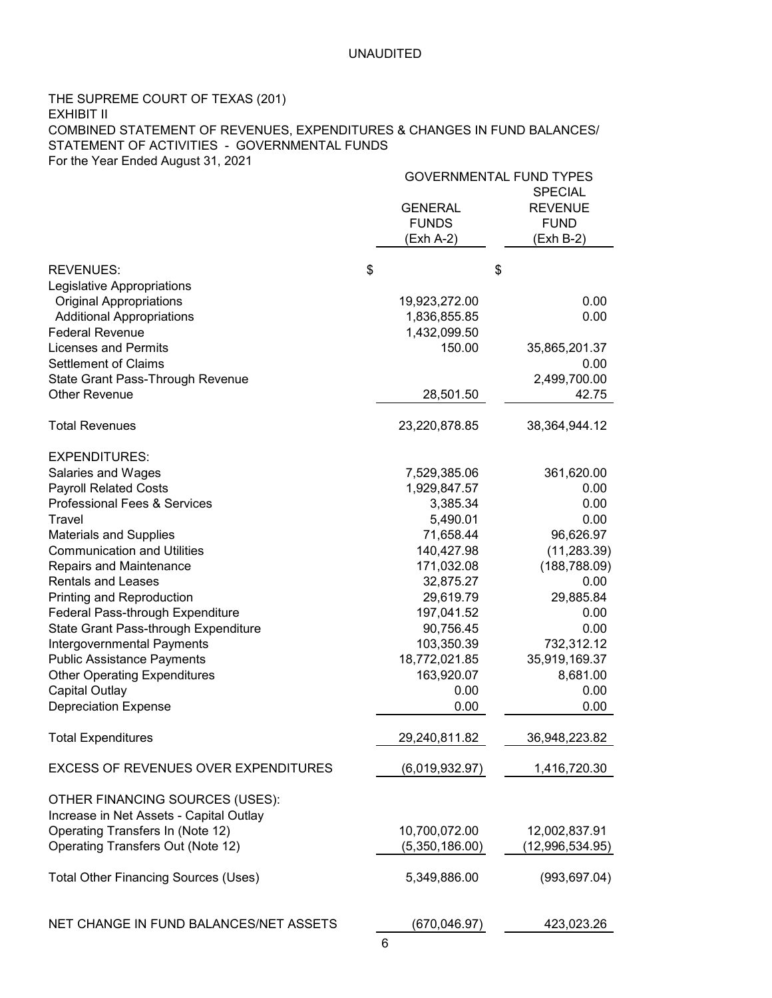### THE SUPREME COURT OF TEXAS (201) EXHIBIT II COMBINED STATEMENT OF REVENUES, EXPENDITURES & CHANGES IN FUND BALANCES/ STATEMENT OF ACTIVITIES - GOVERNMENTAL FUNDS For the Year Ended August 31, 2021

|                                                                                                                            | <b>GOVERNMENTAL FUND TYPES</b>                |                                                              |
|----------------------------------------------------------------------------------------------------------------------------|-----------------------------------------------|--------------------------------------------------------------|
|                                                                                                                            | <b>GENERAL</b><br><b>FUNDS</b><br>(Exh A-2)   | <b>SPECIAL</b><br><b>REVENUE</b><br><b>FUND</b><br>(Exh B-2) |
| <b>REVENUES:</b>                                                                                                           | \$                                            | \$                                                           |
| Legislative Appropriations<br><b>Original Appropriations</b><br><b>Additional Appropriations</b><br><b>Federal Revenue</b> | 19,923,272.00<br>1,836,855.85<br>1,432,099.50 | 0.00<br>0.00                                                 |
| <b>Licenses and Permits</b><br><b>Settlement of Claims</b>                                                                 | 150.00                                        | 35,865,201.37<br>0.00                                        |
| State Grant Pass-Through Revenue<br><b>Other Revenue</b>                                                                   | 28,501.50                                     | 2,499,700.00<br>42.75                                        |
| <b>Total Revenues</b>                                                                                                      | 23,220,878.85                                 | 38,364,944.12                                                |
| <b>EXPENDITURES:</b>                                                                                                       |                                               |                                                              |
| Salaries and Wages                                                                                                         | 7,529,385.06                                  | 361,620.00                                                   |
| <b>Payroll Related Costs</b><br><b>Professional Fees &amp; Services</b>                                                    | 1,929,847.57<br>3,385.34                      | 0.00<br>0.00                                                 |
| Travel                                                                                                                     | 5,490.01                                      | 0.00                                                         |
| <b>Materials and Supplies</b>                                                                                              | 71,658.44                                     | 96,626.97                                                    |
| <b>Communication and Utilities</b>                                                                                         | 140,427.98                                    | (11, 283.39)                                                 |
| <b>Repairs and Maintenance</b>                                                                                             | 171,032.08                                    | (188, 788.09)                                                |
| <b>Rentals and Leases</b>                                                                                                  | 32,875.27                                     | 0.00                                                         |
| Printing and Reproduction                                                                                                  | 29,619.79                                     | 29,885.84                                                    |
| Federal Pass-through Expenditure                                                                                           | 197,041.52                                    | 0.00                                                         |
| State Grant Pass-through Expenditure                                                                                       | 90,756.45                                     | 0.00                                                         |
| Intergovernmental Payments                                                                                                 | 103,350.39                                    | 732,312.12                                                   |
| <b>Public Assistance Payments</b>                                                                                          | 18,772,021.85                                 | 35,919,169.37                                                |
| <b>Other Operating Expenditures</b>                                                                                        | 163,920.07                                    | 8,681.00                                                     |
| <b>Capital Outlay</b>                                                                                                      | 0.00                                          | 0.00                                                         |
| <b>Depreciation Expense</b>                                                                                                | 0.00                                          | 0.00                                                         |
| <b>Total Expenditures</b>                                                                                                  | 29,240,811.82                                 | 36,948,223.82                                                |
| <b>EXCESS OF REVENUES OVER EXPENDITURES</b>                                                                                | (6,019,932.97)                                | 1,416,720.30                                                 |
| OTHER FINANCING SOURCES (USES):<br>Increase in Net Assets - Capital Outlay                                                 |                                               |                                                              |
| Operating Transfers In (Note 12)                                                                                           | 10,700,072.00                                 | 12,002,837.91                                                |
| Operating Transfers Out (Note 12)                                                                                          | (5,350,186.00)                                | (12,996,534.95)                                              |
| <b>Total Other Financing Sources (Uses)</b>                                                                                | 5,349,886.00                                  | (993, 697.04)                                                |
| NET CHANGE IN FUND BALANCES/NET ASSETS                                                                                     | (670, 046.97)                                 | 423,023.26                                                   |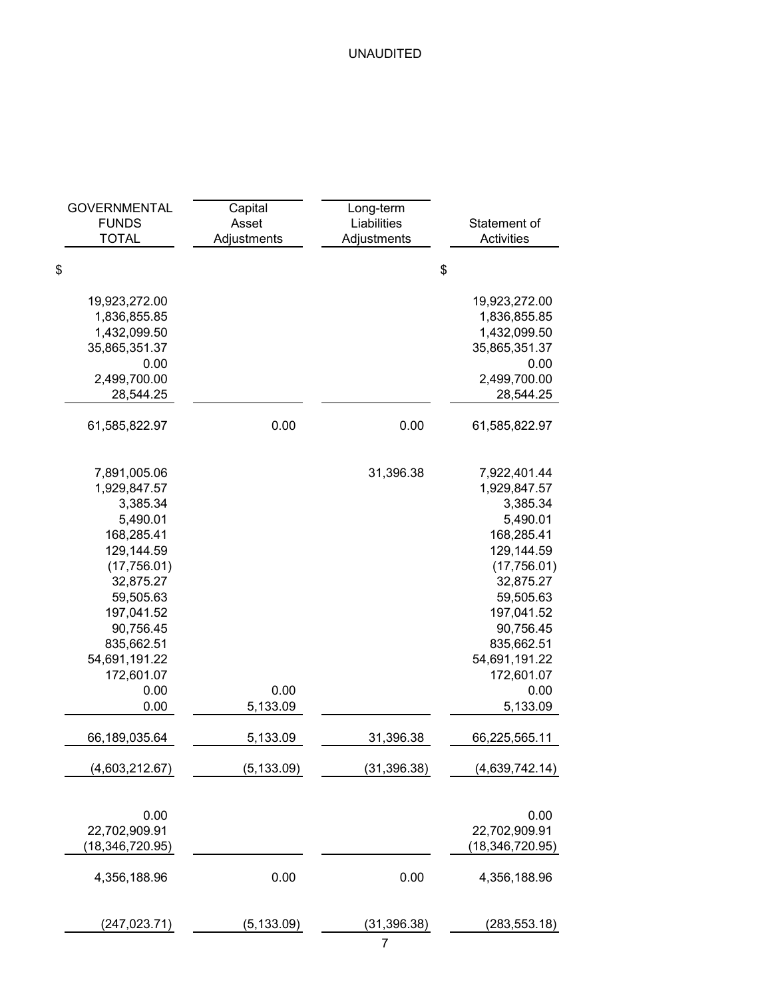| <b>GOVERNMENTAL</b><br><b>FUNDS</b><br><b>TOTAL</b>                                                                                                                                                               | Capital<br>Asset<br>Adjustments | Long-term<br>Liabilities<br>Adjustments | Statement of<br><b>Activities</b>                                                                                                                                                                                     |  |  |
|-------------------------------------------------------------------------------------------------------------------------------------------------------------------------------------------------------------------|---------------------------------|-----------------------------------------|-----------------------------------------------------------------------------------------------------------------------------------------------------------------------------------------------------------------------|--|--|
| \$                                                                                                                                                                                                                |                                 |                                         | \$                                                                                                                                                                                                                    |  |  |
| 19,923,272.00<br>1,836,855.85<br>1,432,099.50<br>35,865,351.37<br>0.00<br>2,499,700.00                                                                                                                            |                                 |                                         | 19,923,272.00<br>1,836,855.85<br>1,432,099.50<br>35,865,351.37<br>0.00<br>2,499,700.00                                                                                                                                |  |  |
| 28,544.25                                                                                                                                                                                                         |                                 |                                         | 28,544.25                                                                                                                                                                                                             |  |  |
| 61,585,822.97                                                                                                                                                                                                     | 0.00                            | 0.00                                    | 61,585,822.97                                                                                                                                                                                                         |  |  |
| 7,891,005.06<br>1,929,847.57<br>3,385.34<br>5,490.01<br>168,285.41<br>129,144.59<br>(17,756.01)<br>32,875.27<br>59,505.63<br>197,041.52<br>90,756.45<br>835,662.51<br>54,691,191.22<br>172,601.07<br>0.00<br>0.00 | 0.00<br>5,133.09                | 31,396.38                               | 7,922,401.44<br>1,929,847.57<br>3,385.34<br>5,490.01<br>168,285.41<br>129,144.59<br>(17,756.01)<br>32,875.27<br>59,505.63<br>197,041.52<br>90,756.45<br>835,662.51<br>54,691,191.22<br>172,601.07<br>0.00<br>5,133.09 |  |  |
| 66,189,035.64                                                                                                                                                                                                     | 5,133.09                        | 31,396.38                               | 66,225,565.11                                                                                                                                                                                                         |  |  |
| (4,603,212.67)                                                                                                                                                                                                    | (5, 133.09)                     | (31, 396.38)                            | (4,639,742.14)                                                                                                                                                                                                        |  |  |
| 0.00<br>22,702,909.91<br>18,346,720.95)                                                                                                                                                                           |                                 |                                         | 0.00<br>22,702,909.91<br>(18,346,720.95)                                                                                                                                                                              |  |  |
| 4,356,188.96                                                                                                                                                                                                      | 0.00                            | 0.00                                    | 4,356,188.96                                                                                                                                                                                                          |  |  |
| (247,023.71)                                                                                                                                                                                                      | (5, 133.09)                     | (31, 396.38)                            | (283, 553.18)                                                                                                                                                                                                         |  |  |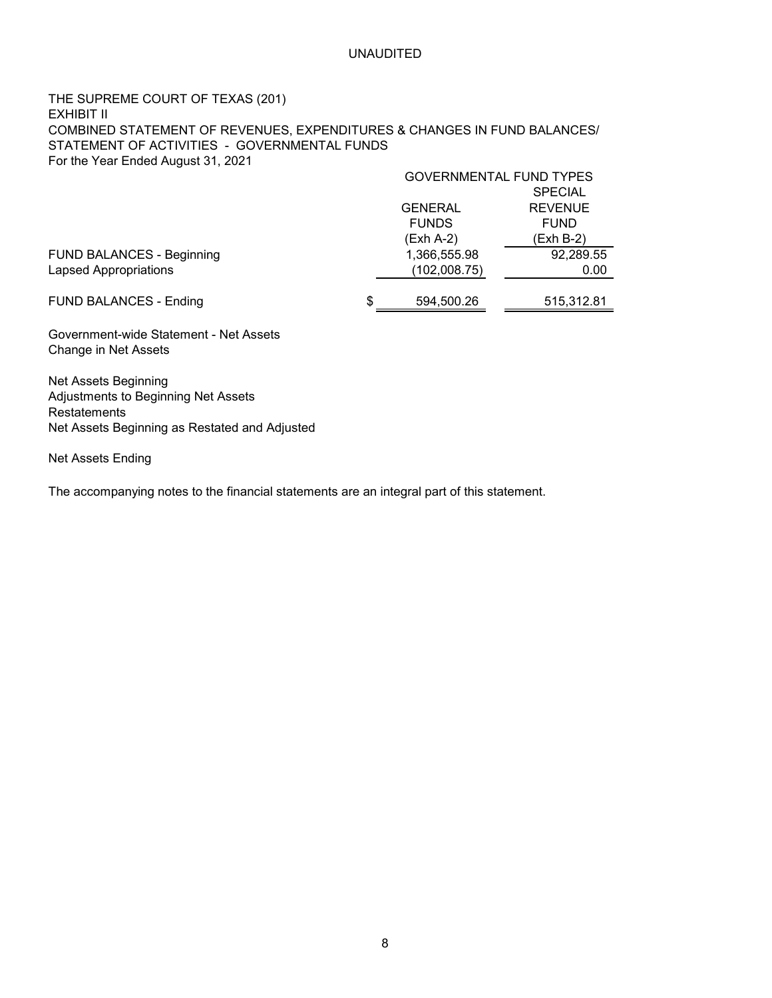### THE SUPREME COURT OF TEXAS (201) EXHIBIT II COMBINED STATEMENT OF REVENUES, EXPENDITURES & CHANGES IN FUND BALANCES/ STATEMENT OF ACTIVITIES - GOVERNMENTAL FUNDS For the Year Ended August 31, 2021

|                                  | GOVERNMENTAL FUND TYPES |                |  |  |  |  |  |
|----------------------------------|-------------------------|----------------|--|--|--|--|--|
|                                  |                         | <b>SPECIAL</b> |  |  |  |  |  |
|                                  | <b>GENERAL</b>          | <b>REVENUE</b> |  |  |  |  |  |
|                                  | <b>FUNDS</b>            | <b>FUND</b>    |  |  |  |  |  |
|                                  | $(Exh A-2)$             | (Exh B-2)      |  |  |  |  |  |
| <b>FUND BALANCES - Beginning</b> | 1,366,555.98            | 92,289.55      |  |  |  |  |  |
| <b>Lapsed Appropriations</b>     | (102,008.75)            | 0.00           |  |  |  |  |  |
|                                  |                         |                |  |  |  |  |  |
| <b>FUND BALANCES - Ending</b>    | \$<br>594,500.26        | 515,312.81     |  |  |  |  |  |
|                                  |                         |                |  |  |  |  |  |

Government-wide Statement - Net Assets Change in Net Assets

Net Assets Beginning Adjustments to Beginning Net Assets Restatements Net Assets Beginning as Restated and Adjusted

Net Assets Ending

The accompanying notes to the financial statements are an integral part of this statement.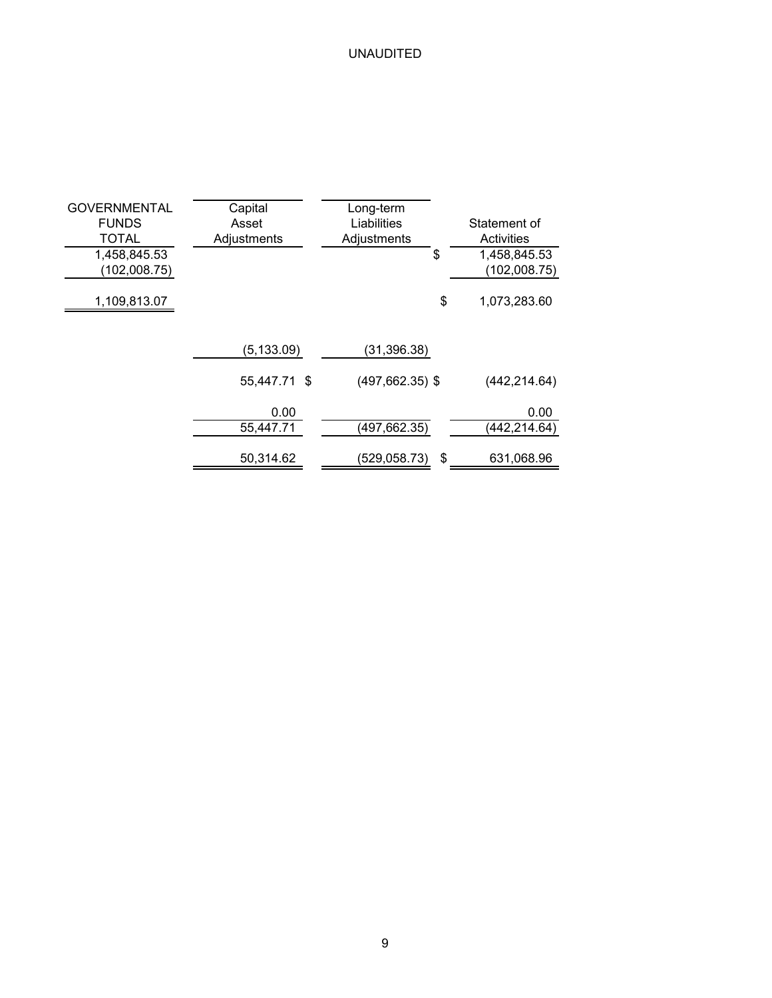| <b>GOVERNMENTAL</b><br><b>FUNDS</b><br><b>TOTAL</b><br>1,458,845.53<br>(102,008.75) | Capital<br>Asset<br>Adjustments | Long-term<br>Liabilities<br>Adjustments<br>\$ | Statement of<br>Activities<br>1,458,845.53<br>(102,008.75) |
|-------------------------------------------------------------------------------------|---------------------------------|-----------------------------------------------|------------------------------------------------------------|
| 1,109,813.07                                                                        |                                 | \$                                            | 1,073,283.60                                               |
|                                                                                     | (5, 133.09)                     | (31, 396.38)                                  |                                                            |
|                                                                                     | 55,447.71 \$                    | $(497, 662.35)$ \$                            | (442, 214.64)                                              |
|                                                                                     | 0.00<br>55,447.71               | (497,662.35)                                  | 0.00<br>(442,214.64)                                       |
|                                                                                     | 50,314.62                       | \$<br>(529, 058.73)                           | 631,068.96                                                 |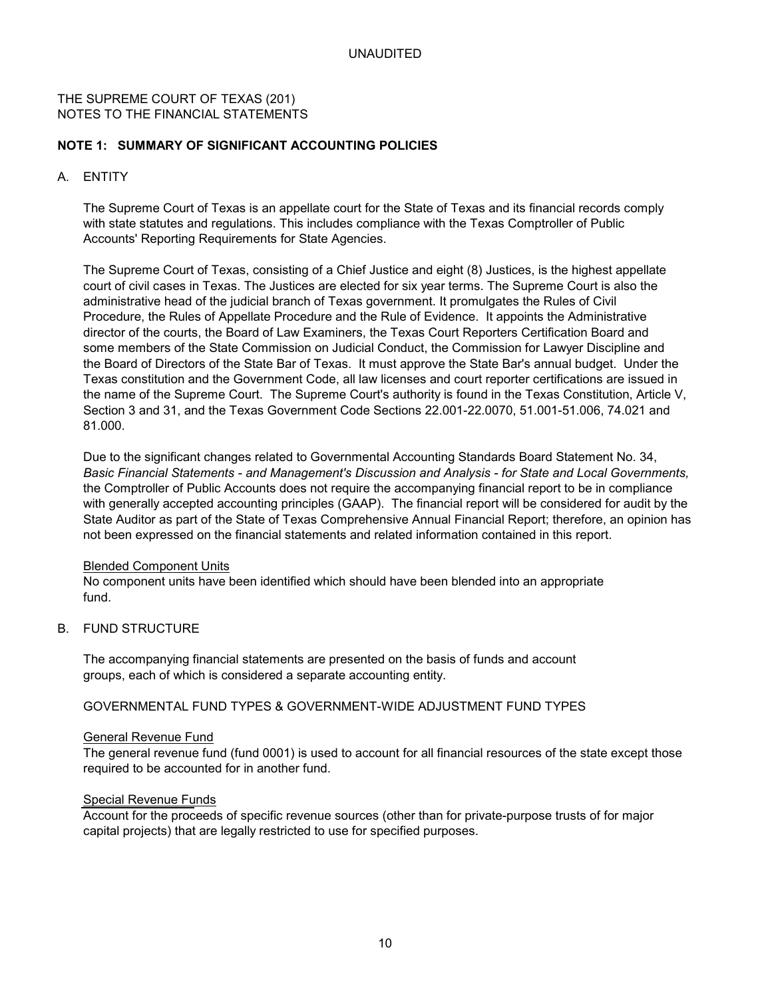### THE SUPREME COURT OF TEXAS (201) NOTES TO THE FINANCIAL STATEMENTS

### **NOTE 1: SUMMARY OF SIGNIFICANT ACCOUNTING POLICIES**

### A. ENTITY

The Supreme Court of Texas is an appellate court for the State of Texas and its financial records comply with state statutes and regulations. This includes compliance with the Texas Comptroller of Public Accounts' Reporting Requirements for State Agencies.

The Supreme Court of Texas, consisting of a Chief Justice and eight (8) Justices, is the highest appellate court of civil cases in Texas. The Justices are elected for six year terms. The Supreme Court is also the administrative head of the judicial branch of Texas government. It promulgates the Rules of Civil Procedure, the Rules of Appellate Procedure and the Rule of Evidence. It appoints the Administrative director of the courts, the Board of Law Examiners, the Texas Court Reporters Certification Board and some members of the State Commission on Judicial Conduct, the Commission for Lawyer Discipline and the Board of Directors of the State Bar of Texas. It must approve the State Bar's annual budget. Under the Texas constitution and the Government Code, all law licenses and court reporter certifications are issued in the name of the Supreme Court. The Supreme Court's authority is found in the Texas Constitution, Article V, Section 3 and 31, and the Texas Government Code Sections 22.001-22.0070, 51.001-51.006, 74.021 and 81.000.

Due to the significant changes related to Governmental Accounting Standards Board Statement No. 34, *Basic Financial Statements - and Management's Discussion and Analysis - for State and Local Governments,* the Comptroller of Public Accounts does not require the accompanying financial report to be in compliance with generally accepted accounting principles (GAAP). The financial report will be considered for audit by the State Auditor as part of the State of Texas Comprehensive Annual Financial Report; therefore, an opinion has not been expressed on the financial statements and related information contained in this report.

#### Blended Component Units

No component units have been identified which should have been blended into an appropriate fund.

#### B. FUND STRUCTURE

The accompanying financial statements are presented on the basis of funds and account groups, each of which is considered a separate accounting entity.

### GOVERNMENTAL FUND TYPES & GOVERNMENT-WIDE ADJUSTMENT FUND TYPES

#### General Revenue Fund

The general revenue fund (fund 0001) is used to account for all financial resources of the state except those required to be accounted for in another fund.

#### Special Revenue Funds

Account for the proceeds of specific revenue sources (other than for private-purpose trusts of for major capital projects) that are legally restricted to use for specified purposes.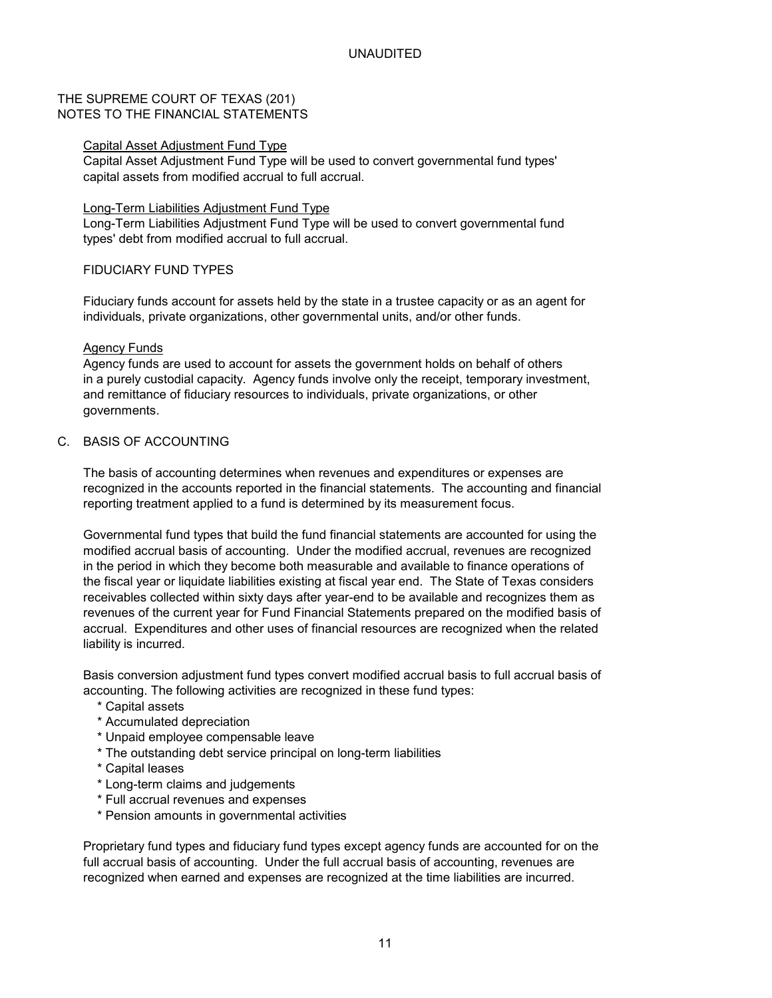### THE SUPREME COURT OF TEXAS (201) NOTES TO THE FINANCIAL STATEMENTS

#### Capital Asset Adjustment Fund Type

Capital Asset Adjustment Fund Type will be used to convert governmental fund types' capital assets from modified accrual to full accrual.

#### Long-Term Liabilities Adjustment Fund Type

Long-Term Liabilities Adjustment Fund Type will be used to convert governmental fund types' debt from modified accrual to full accrual.

### FIDUCIARY FUND TYPES

Fiduciary funds account for assets held by the state in a trustee capacity or as an agent for individuals, private organizations, other governmental units, and/or other funds.

### Agency Funds

Agency funds are used to account for assets the government holds on behalf of others in a purely custodial capacity. Agency funds involve only the receipt, temporary investment, and remittance of fiduciary resources to individuals, private organizations, or other governments.

### C. BASIS OF ACCOUNTING

The basis of accounting determines when revenues and expenditures or expenses are recognized in the accounts reported in the financial statements. The accounting and financial reporting treatment applied to a fund is determined by its measurement focus.

Governmental fund types that build the fund financial statements are accounted for using the modified accrual basis of accounting. Under the modified accrual, revenues are recognized in the period in which they become both measurable and available to finance operations of the fiscal year or liquidate liabilities existing at fiscal year end. The State of Texas considers receivables collected within sixty days after year-end to be available and recognizes them as revenues of the current year for Fund Financial Statements prepared on the modified basis of accrual. Expenditures and other uses of financial resources are recognized when the related liability is incurred.

Basis conversion adjustment fund types convert modified accrual basis to full accrual basis of accounting. The following activities are recognized in these fund types:

- \* Capital assets
- \* Accumulated depreciation
- \* Unpaid employee compensable leave
- \* The outstanding debt service principal on long-term liabilities
- \* Capital leases
- \* Long-term claims and judgements
- \* Full accrual revenues and expenses
- \* Pension amounts in governmental activities

Proprietary fund types and fiduciary fund types except agency funds are accounted for on the full accrual basis of accounting. Under the full accrual basis of accounting, revenues are recognized when earned and expenses are recognized at the time liabilities are incurred.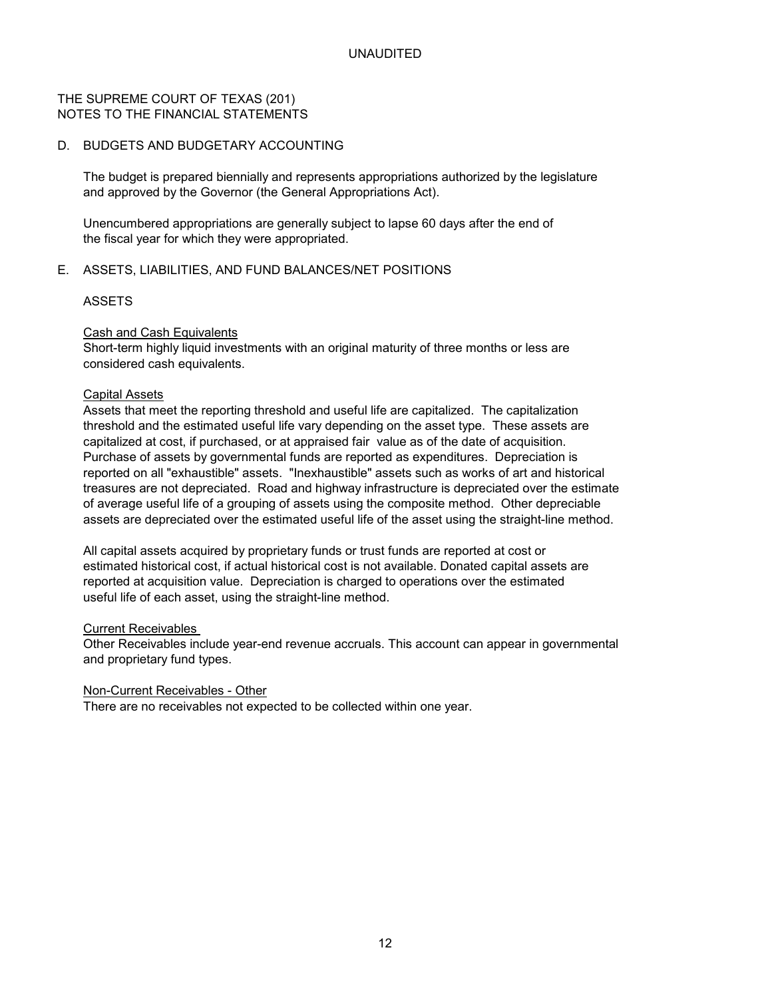### THE SUPREME COURT OF TEXAS (201) NOTES TO THE FINANCIAL STATEMENTS

### D. BUDGETS AND BUDGETARY ACCOUNTING

The budget is prepared biennially and represents appropriations authorized by the legislature and approved by the Governor (the General Appropriations Act).

Unencumbered appropriations are generally subject to lapse 60 days after the end of the fiscal year for which they were appropriated.

### E. ASSETS, LIABILITIES, AND FUND BALANCES/NET POSITIONS

### ASSETS

### Cash and Cash Equivalents

Short-term highly liquid investments with an original maturity of three months or less are considered cash equivalents.

### Capital Assets

Assets that meet the reporting threshold and useful life are capitalized. The capitalization threshold and the estimated useful life vary depending on the asset type. These assets are capitalized at cost, if purchased, or at appraised fair value as of the date of acquisition. Purchase of assets by governmental funds are reported as expenditures. Depreciation is reported on all "exhaustible" assets. "Inexhaustible" assets such as works of art and historical treasures are not depreciated. Road and highway infrastructure is depreciated over the estimate of average useful life of a grouping of assets using the composite method. Other depreciable assets are depreciated over the estimated useful life of the asset using the straight-line method.

All capital assets acquired by proprietary funds or trust funds are reported at cost or estimated historical cost, if actual historical cost is not available. Donated capital assets are reported at acquisition value. Depreciation is charged to operations over the estimated useful life of each asset, using the straight-line method.

#### Current Receivables

Other Receivables include year-end revenue accruals. This account can appear in governmental and proprietary fund types.

#### Non-Current Receivables - Other

There are no receivables not expected to be collected within one year.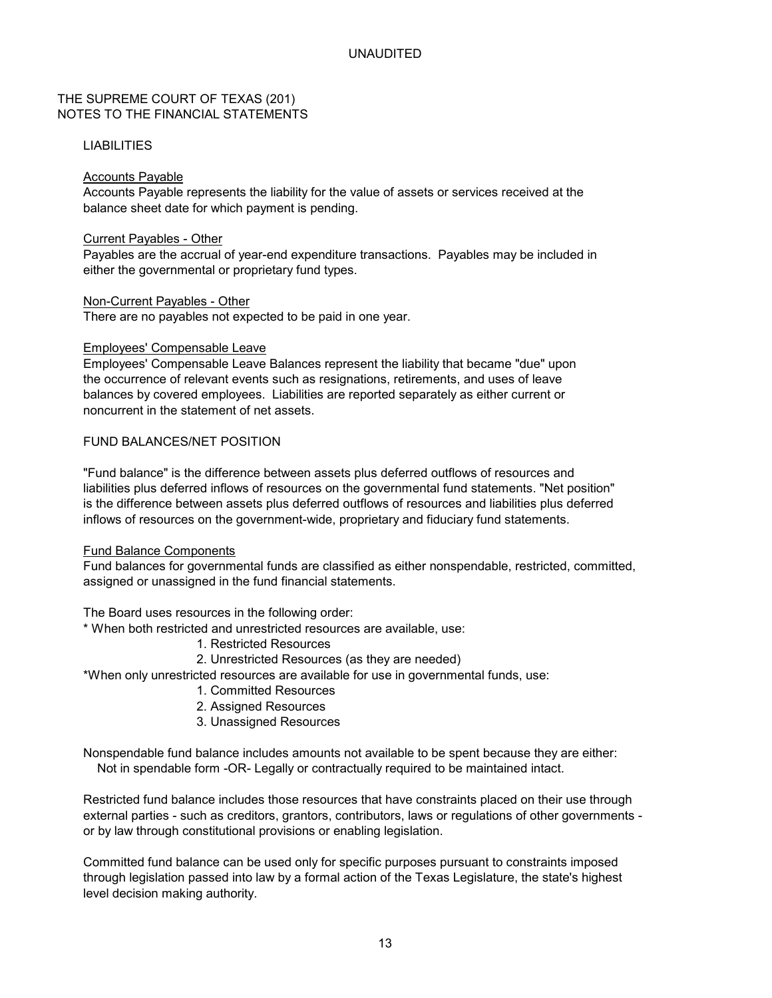### THE SUPREME COURT OF TEXAS (201) NOTES TO THE FINANCIAL STATEMENTS

#### LIABILITIES

#### Accounts Payable

Accounts Payable represents the liability for the value of assets or services received at the balance sheet date for which payment is pending.

#### Current Payables - Other

Payables are the accrual of year-end expenditure transactions. Payables may be included in either the governmental or proprietary fund types.

### Non-Current Payables - Other

There are no payables not expected to be paid in one year.

### Employees' Compensable Leave

Employees' Compensable Leave Balances represent the liability that became "due" upon the occurrence of relevant events such as resignations, retirements, and uses of leave balances by covered employees. Liabilities are reported separately as either current or noncurrent in the statement of net assets.

### FUND BALANCES/NET POSITION

"Fund balance" is the difference between assets plus deferred outflows of resources and liabilities plus deferred inflows of resources on the governmental fund statements. "Net position" is the difference between assets plus deferred outflows of resources and liabilities plus deferred inflows of resources on the government-wide, proprietary and fiduciary fund statements.

#### Fund Balance Components

Fund balances for governmental funds are classified as either nonspendable, restricted, committed, assigned or unassigned in the fund financial statements.

The Board uses resources in the following order:

\* When both restricted and unrestricted resources are available, use:

- 1. Restricted Resources
- 2. Unrestricted Resources (as they are needed)
- \*When only unrestricted resources are available for use in governmental funds, use:
	- 1. Committed Resources
	- 2. Assigned Resources
	- 3. Unassigned Resources

Nonspendable fund balance includes amounts not available to be spent because they are either: Not in spendable form -OR- Legally or contractually required to be maintained intact.

Restricted fund balance includes those resources that have constraints placed on their use through external parties - such as creditors, grantors, contributors, laws or regulations of other governments or by law through constitutional provisions or enabling legislation.

Committed fund balance can be used only for specific purposes pursuant to constraints imposed through legislation passed into law by a formal action of the Texas Legislature, the state's highest level decision making authority.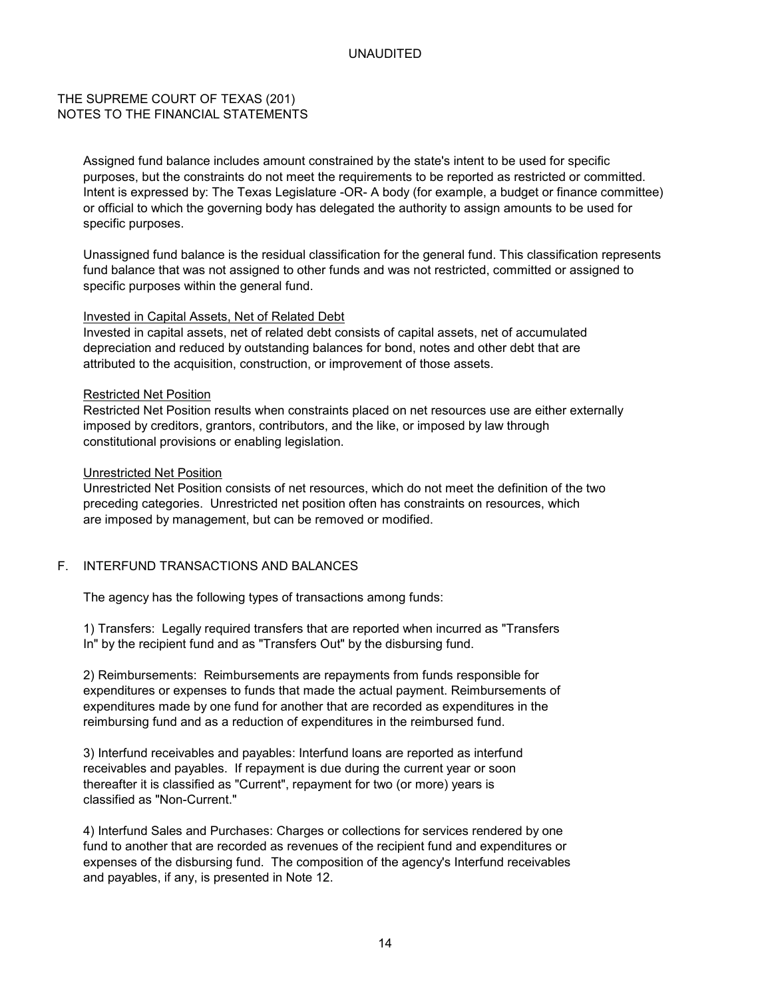### THE SUPREME COURT OF TEXAS (201) NOTES TO THE FINANCIAL STATEMENTS

Assigned fund balance includes amount constrained by the state's intent to be used for specific purposes, but the constraints do not meet the requirements to be reported as restricted or committed. Intent is expressed by: The Texas Legislature -OR- A body (for example, a budget or finance committee) or official to which the governing body has delegated the authority to assign amounts to be used for specific purposes.

Unassigned fund balance is the residual classification for the general fund. This classification represents fund balance that was not assigned to other funds and was not restricted, committed or assigned to specific purposes within the general fund.

#### Invested in Capital Assets, Net of Related Debt

Invested in capital assets, net of related debt consists of capital assets, net of accumulated depreciation and reduced by outstanding balances for bond, notes and other debt that are attributed to the acquisition, construction, or improvement of those assets.

#### Restricted Net Position

Restricted Net Position results when constraints placed on net resources use are either externally imposed by creditors, grantors, contributors, and the like, or imposed by law through constitutional provisions or enabling legislation.

#### Unrestricted Net Position

Unrestricted Net Position consists of net resources, which do not meet the definition of the two preceding categories. Unrestricted net position often has constraints on resources, which are imposed by management, but can be removed or modified.

### F. INTERFUND TRANSACTIONS AND BALANCES

The agency has the following types of transactions among funds:

1) Transfers: Legally required transfers that are reported when incurred as "Transfers In" by the recipient fund and as "Transfers Out" by the disbursing fund.

2) Reimbursements: Reimbursements are repayments from funds responsible for expenditures or expenses to funds that made the actual payment. Reimbursements of expenditures made by one fund for another that are recorded as expenditures in the reimbursing fund and as a reduction of expenditures in the reimbursed fund.

3) Interfund receivables and payables: Interfund loans are reported as interfund receivables and payables. If repayment is due during the current year or soon thereafter it is classified as "Current", repayment for two (or more) years is classified as "Non-Current."

4) Interfund Sales and Purchases: Charges or collections for services rendered by one fund to another that are recorded as revenues of the recipient fund and expenditures or expenses of the disbursing fund. The composition of the agency's Interfund receivables and payables, if any, is presented in Note 12.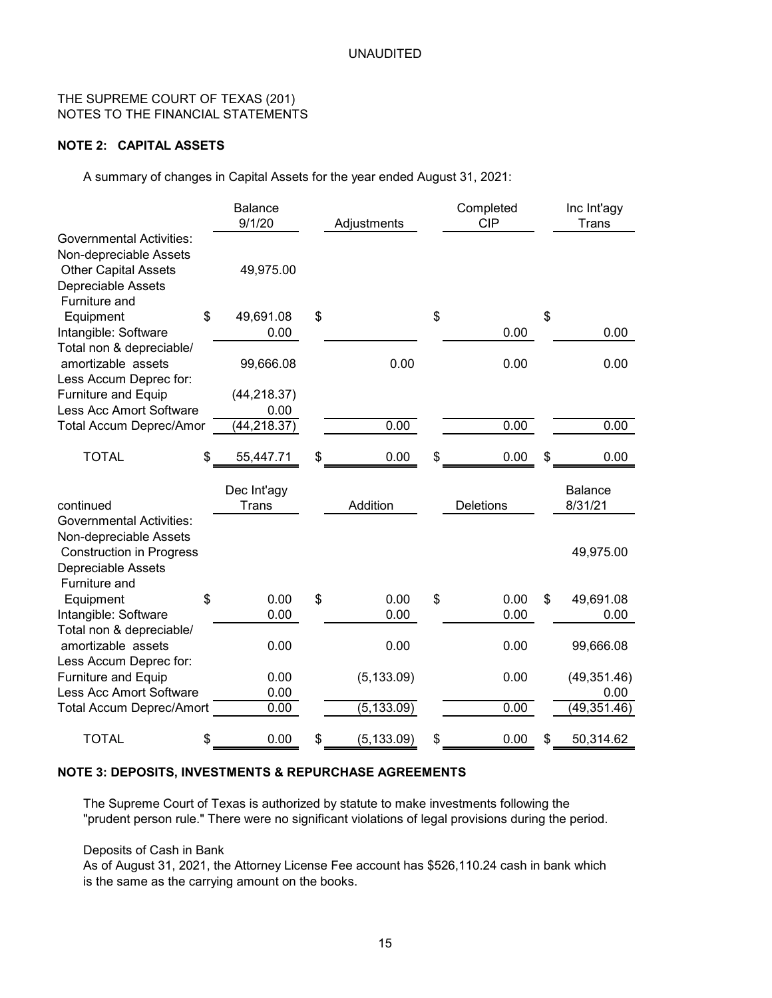### THE SUPREME COURT OF TEXAS (201) NOTES TO THE FINANCIAL STATEMENTS

### **NOTE 2: CAPITAL ASSETS**

A summary of changes in Capital Assets for the year ended August 31, 2021:

|                                                                                                                    | <b>Balance</b><br>9/1/20    | Adjustments       | Completed<br><b>CIP</b> | Inc Int'agy<br>Trans      |
|--------------------------------------------------------------------------------------------------------------------|-----------------------------|-------------------|-------------------------|---------------------------|
| <b>Governmental Activities:</b>                                                                                    |                             |                   |                         |                           |
| Non-depreciable Assets<br><b>Other Capital Assets</b><br>Depreciable Assets                                        | 49,975.00                   |                   |                         |                           |
| Furniture and                                                                                                      |                             |                   |                         |                           |
| Equipment                                                                                                          | \$<br>49,691.08             | \$                | \$                      | \$                        |
| Intangible: Software                                                                                               | 0.00                        |                   | 0.00                    | 0.00                      |
| Total non & depreciable/                                                                                           |                             |                   |                         |                           |
| amortizable assets                                                                                                 | 99,666.08                   | 0.00              | 0.00                    | 0.00                      |
| Less Accum Deprec for:                                                                                             |                             |                   |                         |                           |
| <b>Furniture and Equip</b><br><b>Less Acc Amort Software</b>                                                       | (44, 218.37)                |                   |                         |                           |
|                                                                                                                    | 0.00                        |                   |                         |                           |
| <b>Total Accum Deprec/Amor</b>                                                                                     | (44, 218.37)                | 0.00              | 0.00                    | 0.00                      |
| <b>TOTAL</b>                                                                                                       | \$<br>55,447.71             | \$<br>0.00        | 0.00                    | \$<br>0.00                |
| continued                                                                                                          | Dec Int'agy<br><b>Trans</b> | Addition          | <b>Deletions</b>        | <b>Balance</b><br>8/31/21 |
| <b>Governmental Activities:</b><br>Non-depreciable Assets<br><b>Construction in Progress</b><br>Depreciable Assets |                             |                   |                         | 49,975.00                 |
| Furniture and                                                                                                      |                             |                   |                         |                           |
| Equipment                                                                                                          | \$<br>0.00                  | \$<br>0.00        | \$<br>0.00              | \$<br>49,691.08           |
| Intangible: Software                                                                                               | 0.00                        | 0.00              | 0.00                    | 0.00                      |
| Total non & depreciable/                                                                                           |                             |                   |                         |                           |
| amortizable assets                                                                                                 | 0.00                        | 0.00              | 0.00                    | 99,666.08                 |
| Less Accum Deprec for:                                                                                             |                             |                   |                         |                           |
| <b>Furniture and Equip</b>                                                                                         | 0.00                        | (5, 133.09)       | 0.00                    | (49, 351.46)              |
| <b>Less Acc Amort Software</b>                                                                                     | 0.00                        |                   |                         | 0.00                      |
| <b>Total Accum Deprec/Amort</b>                                                                                    | 0.00                        | (5, 133.09)       | 0.00                    | (49, 351.46)              |
| <b>TOTAL</b>                                                                                                       | \$<br>0.00                  | \$<br>(5, 133.09) | \$<br>0.00              | \$<br>50,314.62           |

### **NOTE 3: DEPOSITS, INVESTMENTS & REPURCHASE AGREEMENTS**

The Supreme Court of Texas is authorized by statute to make investments following the "prudent person rule." There were no significant violations of legal provisions during the period.

Deposits of Cash in Bank

As of August 31, 2021, the Attorney License Fee account has \$526,110.24 cash in bank which is the same as the carrying amount on the books.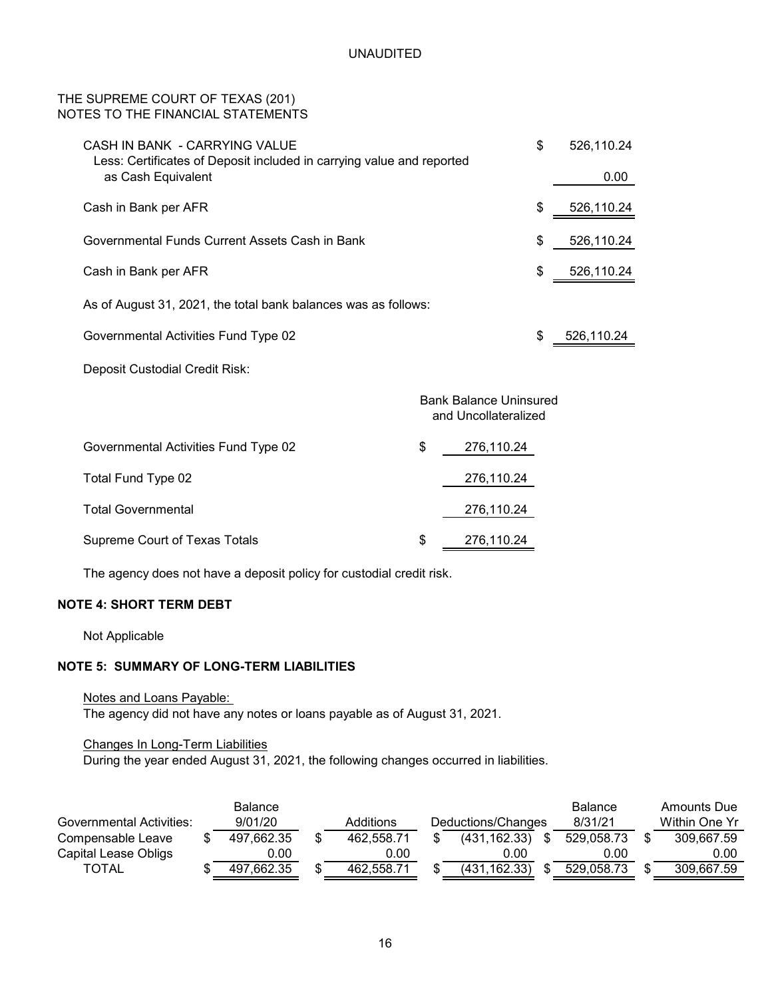### THE SUPREME COURT OF TEXAS (201) NOTES TO THE FINANCIAL STATEMENTS

| CASH IN BANK - CARRYING VALUE<br>Less: Certificates of Deposit included in carrying value and reported |                                                       | \$<br>526,110.24 |
|--------------------------------------------------------------------------------------------------------|-------------------------------------------------------|------------------|
| as Cash Equivalent                                                                                     |                                                       | 0.00             |
| Cash in Bank per AFR                                                                                   |                                                       | \$<br>526,110.24 |
| Governmental Funds Current Assets Cash in Bank                                                         |                                                       | \$<br>526,110.24 |
| Cash in Bank per AFR                                                                                   |                                                       | \$<br>526,110.24 |
| As of August 31, 2021, the total bank balances was as follows:                                         |                                                       |                  |
| Governmental Activities Fund Type 02                                                                   |                                                       | \$<br>526,110.24 |
| Deposit Custodial Credit Risk:                                                                         |                                                       |                  |
|                                                                                                        | <b>Bank Balance Uninsured</b><br>and Uncollateralized |                  |
| Governmental Activities Fund Type 02                                                                   | \$<br>276,110.24                                      |                  |
| Total Fund Type 02                                                                                     | 276,110.24                                            |                  |
| <b>Total Governmental</b>                                                                              | 276,110.24                                            |                  |
| Supreme Court of Texas Totals                                                                          | \$<br>276,110.24                                      |                  |

The agency does not have a deposit policy for custodial credit risk.

### **NOTE 4: SHORT TERM DEBT**

Not Applicable

### **NOTE 5: SUMMARY OF LONG-TERM LIABILITIES**

Notes and Loans Payable:

The agency did not have any notes or loans payable as of August 31, 2021.

### Changes In Long-Term Liabilities

During the year ended August 31, 2021, the following changes occurred in liabilities.

|                                 |         | <b>Balance</b> |                    |         |               | <b>Balance</b> | Amounts Due |
|---------------------------------|---------|----------------|--------------------|---------|---------------|----------------|-------------|
| <b>Governmental Activities:</b> | 9/01/20 | Additions      | Deductions/Changes | 8/31/21 | Within One Yr |                |             |
| Compensable Leave               |         | 497,662.35     | 462.558.71         |         | (431, 162.33) | 529,058.73     | 309,667.59  |
| Capital Lease Obligs            |         | 0.00           | 0.00               |         | 0.00          | 0.00           | 0.00        |
| <b>TOTAL</b>                    |         | 497,662.35     | 462.558.71         |         | (431, 162.33) | 529,058.73     | 309,667.59  |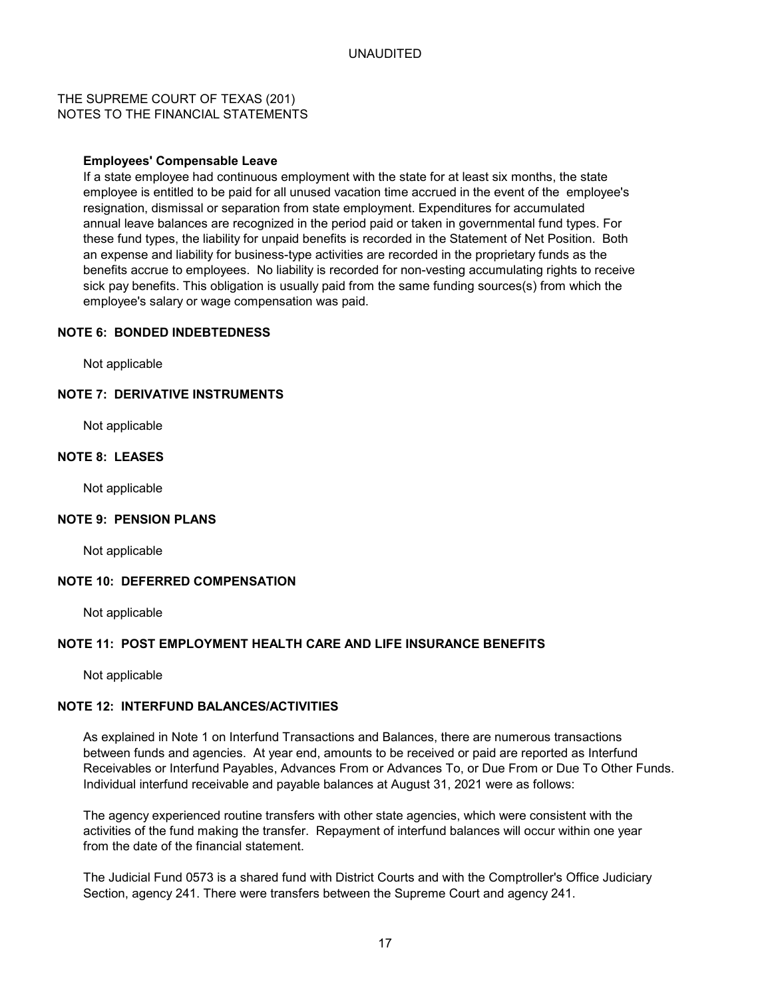### THE SUPREME COURT OF TEXAS (201) NOTES TO THE FINANCIAL STATEMENTS

#### **Employees' Compensable Leave**

If a state employee had continuous employment with the state for at least six months, the state employee is entitled to be paid for all unused vacation time accrued in the event of the employee's resignation, dismissal or separation from state employment. Expenditures for accumulated annual leave balances are recognized in the period paid or taken in governmental fund types. For these fund types, the liability for unpaid benefits is recorded in the Statement of Net Position. Both an expense and liability for business-type activities are recorded in the proprietary funds as the benefits accrue to employees. No liability is recorded for non-vesting accumulating rights to receive sick pay benefits. This obligation is usually paid from the same funding sources(s) from which the employee's salary or wage compensation was paid.

#### **NOTE 6: BONDED INDEBTEDNESS**

Not applicable

### **NOTE 7: DERIVATIVE INSTRUMENTS**

Not applicable

### **NOTE 8: LEASES**

Not applicable

#### **NOTE 9: PENSION PLANS**

Not applicable

### **NOTE 10: DEFERRED COMPENSATION**

Not applicable

#### **NOTE 11: POST EMPLOYMENT HEALTH CARE AND LIFE INSURANCE BENEFITS**

Not applicable

### **NOTE 12: INTERFUND BALANCES/ACTIVITIES**

As explained in Note 1 on Interfund Transactions and Balances, there are numerous transactions between funds and agencies. At year end, amounts to be received or paid are reported as Interfund Receivables or Interfund Payables, Advances From or Advances To, or Due From or Due To Other Funds. Individual interfund receivable and payable balances at August 31, 2021 were as follows:

The agency experienced routine transfers with other state agencies, which were consistent with the activities of the fund making the transfer. Repayment of interfund balances will occur within one year from the date of the financial statement.

The Judicial Fund 0573 is a shared fund with District Courts and with the Comptroller's Office Judiciary Section, agency 241. There were transfers between the Supreme Court and agency 241.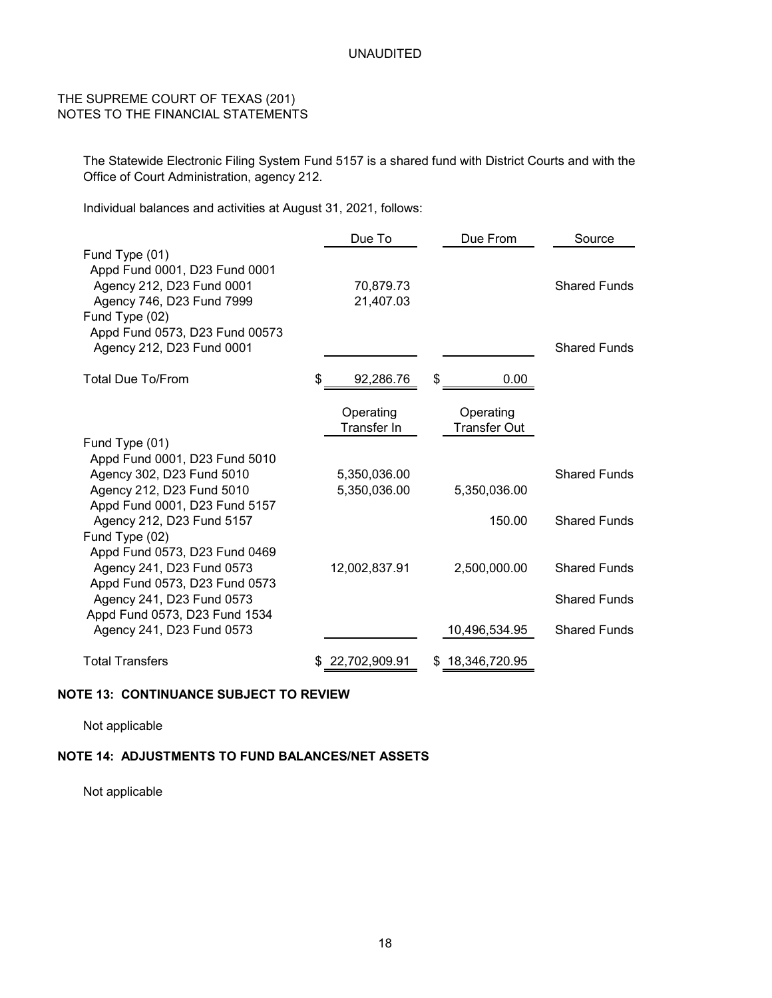### THE SUPREME COURT OF TEXAS (201) NOTES TO THE FINANCIAL STATEMENTS

The Statewide Electronic Filing System Fund 5157 is a shared fund with District Courts and with the Office of Court Administration, agency 212.

Individual balances and activities at August 31, 2021, follows:

|                                                                                                                                                                                            | Due To                       | Due From                         | Source                                     |
|--------------------------------------------------------------------------------------------------------------------------------------------------------------------------------------------|------------------------------|----------------------------------|--------------------------------------------|
| Fund Type (01)<br>Appd Fund 0001, D23 Fund 0001<br>Agency 212, D23 Fund 0001<br>Agency 746, D23 Fund 7999<br>Fund Type (02)<br>Appd Fund 0573, D23 Fund 00573<br>Agency 212, D23 Fund 0001 | 70,879.73<br>21,407.03       |                                  | <b>Shared Funds</b><br><b>Shared Funds</b> |
| <b>Total Due To/From</b>                                                                                                                                                                   | \$<br>92,286.76              | \$<br>0.00                       |                                            |
| Fund Type (01)                                                                                                                                                                             | Operating<br>Transfer In     | Operating<br><b>Transfer Out</b> |                                            |
| Appd Fund 0001, D23 Fund 5010<br>Agency 302, D23 Fund 5010<br>Agency 212, D23 Fund 5010<br>Appd Fund 0001, D23 Fund 5157                                                                   | 5,350,036.00<br>5,350,036.00 | 5,350,036.00                     | <b>Shared Funds</b>                        |
| Agency 212, D23 Fund 5157<br>Fund Type (02)                                                                                                                                                |                              | 150.00                           | <b>Shared Funds</b>                        |
| Appd Fund 0573, D23 Fund 0469<br>Agency 241, D23 Fund 0573<br>Appd Fund 0573, D23 Fund 0573<br>Agency 241, D23 Fund 0573                                                                   | 12,002,837.91                | 2,500,000.00                     | <b>Shared Funds</b><br><b>Shared Funds</b> |
| Appd Fund 0573, D23 Fund 1534<br>Agency 241, D23 Fund 0573                                                                                                                                 |                              | 10,496,534.95                    | <b>Shared Funds</b>                        |
| <b>Total Transfers</b>                                                                                                                                                                     | 22,702,909.91                | 18,346,720.95                    |                                            |

### **NOTE 13: CONTINUANCE SUBJECT TO REVIEW**

Not applicable

### **NOTE 14: ADJUSTMENTS TO FUND BALANCES/NET ASSETS**

Not applicable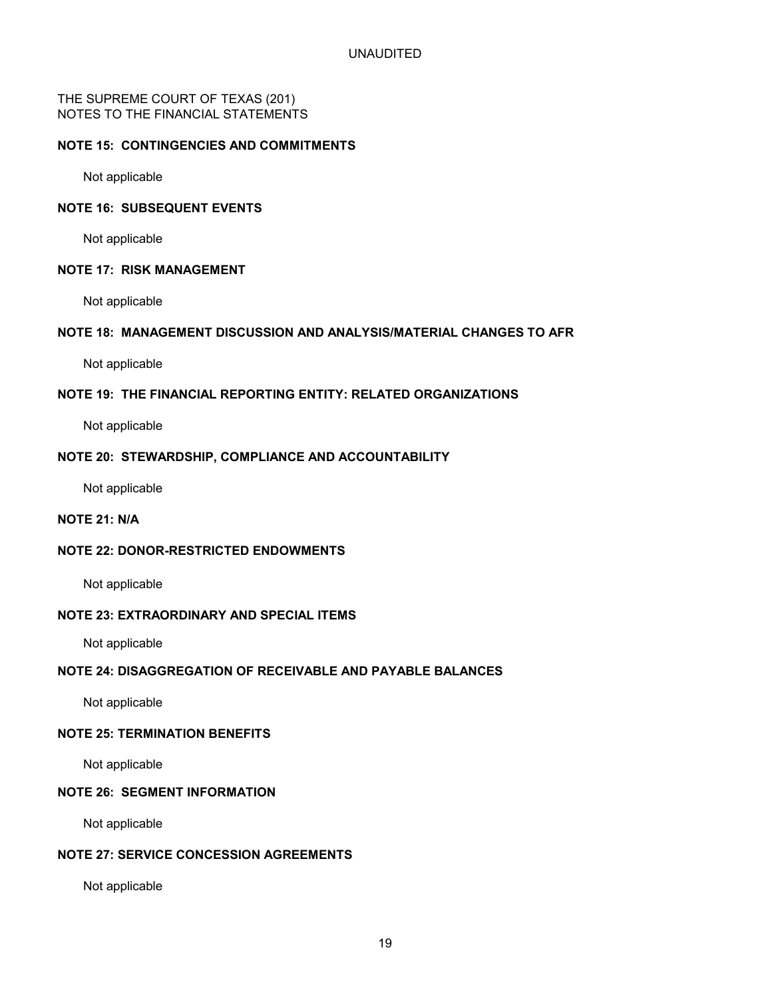THE SUPREME COURT OF TEXAS (201) NOTES TO THE FINANCIAL STATEMENTS

### **NOTE 15: CONTINGENCIES AND COMMITMENTS**

Not applicable

### **NOTE 16: SUBSEQUENT EVENTS**

Not applicable

#### **NOTE 17: RISK MANAGEMENT**

Not applicable

### **NOTE 18: MANAGEMENT DISCUSSION AND ANALYSIS/MATERIAL CHANGES TO AFR**

Not applicable

### **NOTE 19: THE FINANCIAL REPORTING ENTITY: RELATED ORGANIZATIONS**

Not applicable

### **NOTE 20: STEWARDSHIP, COMPLIANCE AND ACCOUNTABILITY**

Not applicable

### **NOTE 21: N/A**

### **NOTE 22: DONOR-RESTRICTED ENDOWMENTS**

Not applicable

### **NOTE 23: EXTRAORDINARY AND SPECIAL ITEMS**

Not applicable

### **NOTE 24: DISAGGREGATION OF RECEIVABLE AND PAYABLE BALANCES**

Not applicable

### **NOTE 25: TERMINATION BENEFITS**

Not applicable

### **NOTE 26: SEGMENT INFORMATION**

Not applicable

### **NOTE 27: SERVICE CONCESSION AGREEMENTS**

Not applicable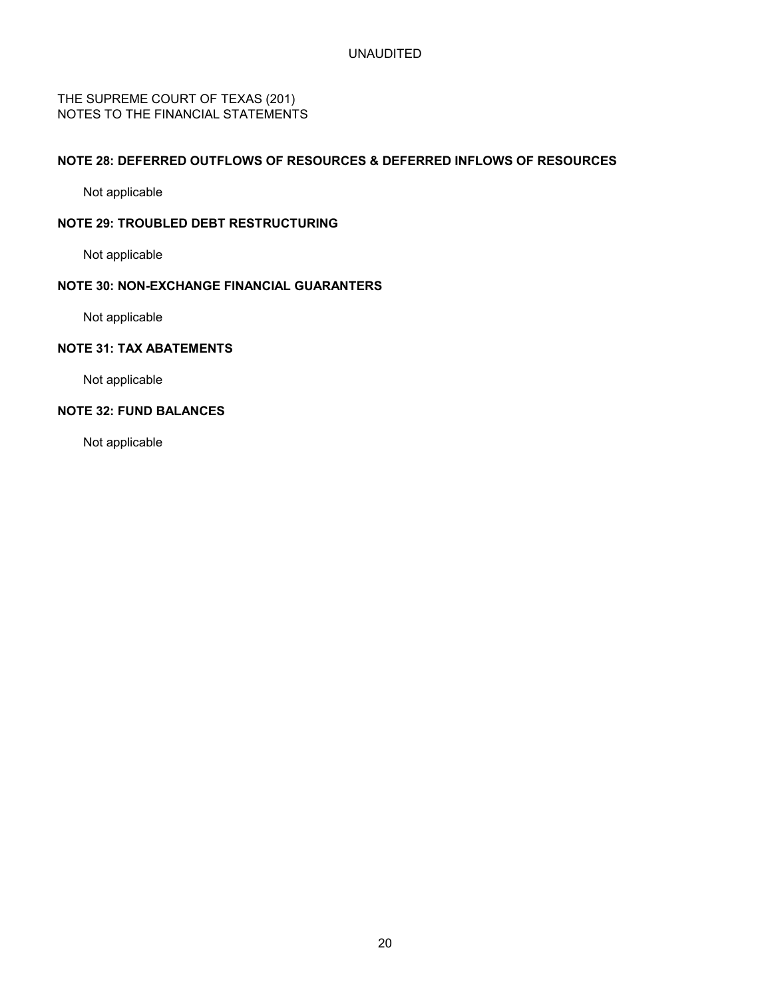THE SUPREME COURT OF TEXAS (201) NOTES TO THE FINANCIAL STATEMENTS

### **NOTE 28: DEFERRED OUTFLOWS OF RESOURCES & DEFERRED INFLOWS OF RESOURCES**

Not applicable

### **NOTE 29: TROUBLED DEBT RESTRUCTURING**

Not applicable

### **NOTE 30: NON-EXCHANGE FINANCIAL GUARANTERS**

Not applicable

### **NOTE 31: TAX ABATEMENTS**

Not applicable

### **NOTE 32: FUND BALANCES**

Not applicable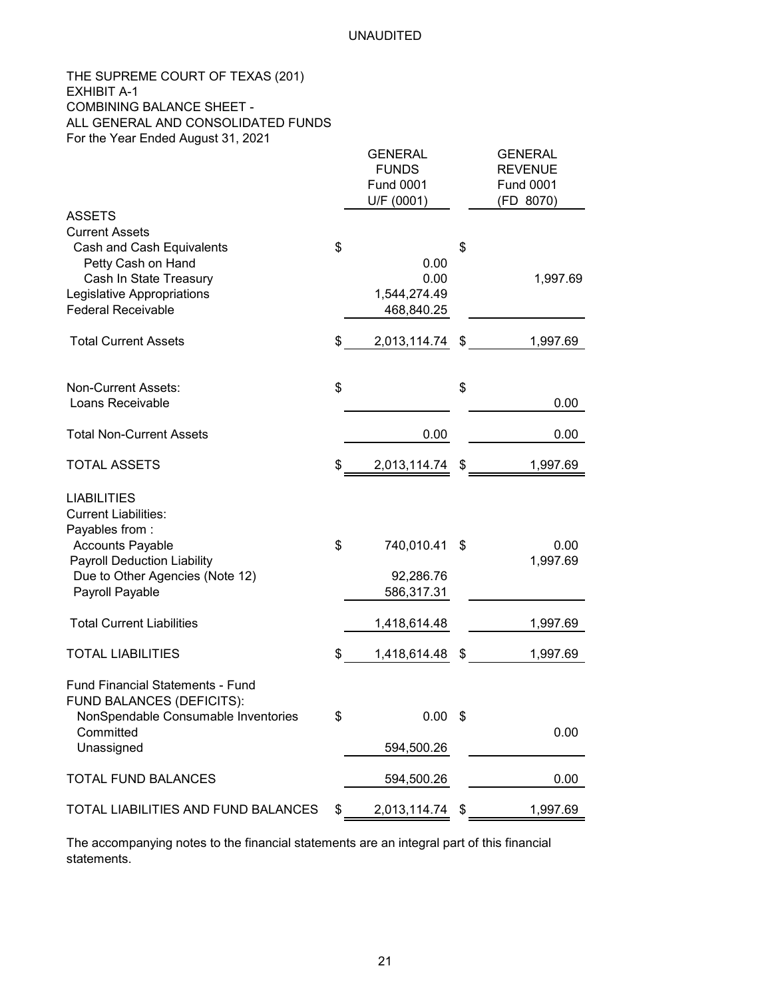### THE SUPREME COURT OF TEXAS (201) EXHIBIT A-1 COMBINING BALANCE SHEET - ALL GENERAL AND CONSOLIDATED FUNDS For the Year Ended August 31, 2021

|                                                                                                                                                               | GENERAL<br><b>FUNDS</b><br><b>Fund 0001</b><br>U/F (0001) | GENERAL<br><b>REVENUE</b><br><b>Fund 0001</b><br>(FD 8070) |
|---------------------------------------------------------------------------------------------------------------------------------------------------------------|-----------------------------------------------------------|------------------------------------------------------------|
| <b>ASSETS</b>                                                                                                                                                 |                                                           |                                                            |
| <b>Current Assets</b><br>Cash and Cash Equivalents<br>Petty Cash on Hand<br>Cash In State Treasury<br>Legislative Appropriations<br><b>Federal Receivable</b> | \$<br>0.00<br>0.00<br>1,544,274.49<br>468,840.25          | \$<br>1,997.69                                             |
| <b>Total Current Assets</b>                                                                                                                                   | \$<br>2,013,114.74 \$                                     | 1,997.69                                                   |
| <b>Non-Current Assets:</b><br>Loans Receivable                                                                                                                | \$                                                        | \$<br>0.00                                                 |
| <b>Total Non-Current Assets</b>                                                                                                                               | 0.00                                                      | 0.00                                                       |
| <b>TOTAL ASSETS</b>                                                                                                                                           | \$<br>2,013,114.74 \$                                     | 1,997.69                                                   |
| <b>LIABILITIES</b><br><b>Current Liabilities:</b><br>Payables from:<br><b>Accounts Payable</b><br><b>Payroll Deduction Liability</b>                          | \$<br>740,010.41                                          | \$<br>0.00<br>1,997.69                                     |
| Due to Other Agencies (Note 12)<br>Payroll Payable                                                                                                            | 92,286.76<br>586,317.31                                   |                                                            |
| <b>Total Current Liabilities</b>                                                                                                                              | 1,418,614.48                                              | 1,997.69                                                   |
| <b>TOTAL LIABILITIES</b>                                                                                                                                      | \$<br>1,418,614.48 \$                                     | 1,997.69                                                   |
| Fund Financial Statements - Fund<br>FUND BALANCES (DEFICITS):<br>NonSpendable Consumable Inventories<br>Committed<br>Unassigned                               | \$<br>$0.00$ \$<br>594,500.26                             | 0.00                                                       |
| <b>TOTAL FUND BALANCES</b>                                                                                                                                    | 594,500.26                                                | 0.00                                                       |
| TOTAL LIABILITIES AND FUND BALANCES                                                                                                                           | \$<br>2,013,114.74 \$                                     | 1,997.69                                                   |

The accompanying notes to the financial statements are an integral part of this financial statements.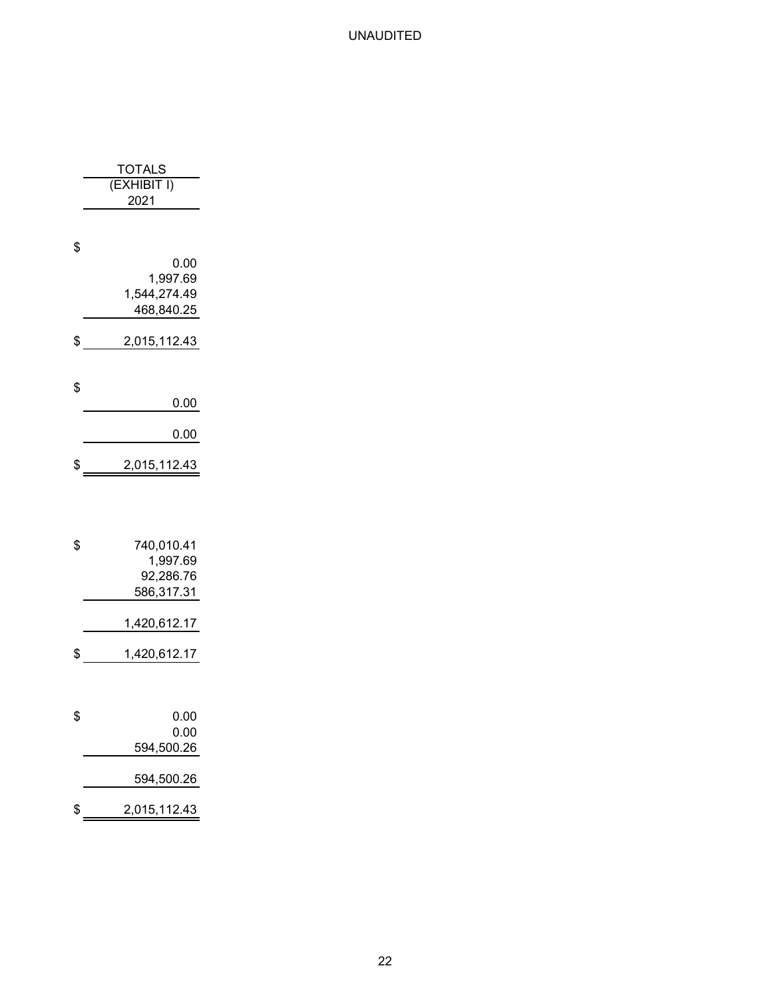| TOTALS<br>(EXHIBIT I)        |
|------------------------------|
|                              |
| 2021                         |
|                              |
| \$                           |
| 0.00<br>1,997.69             |
| 1,544,274.49                 |
| 468,840.25                   |
| \$<br>2,015,112.43           |
|                              |
| \$                           |
| 0.00                         |
| 0.00                         |
| \$<br>2,015,112.43           |
|                              |
|                              |
|                              |
| \$<br>740,010.41<br>1,997.69 |
| 92,286.76                    |
| 586,317.31                   |
| 1,420,612.17                 |
| \$<br>1,420,612.17           |
|                              |
|                              |
| \$<br>0.00                   |
| 0.00                         |
| 594,500.26                   |
| 594,500.26                   |
| \$<br><u>2,015,112.43</u>    |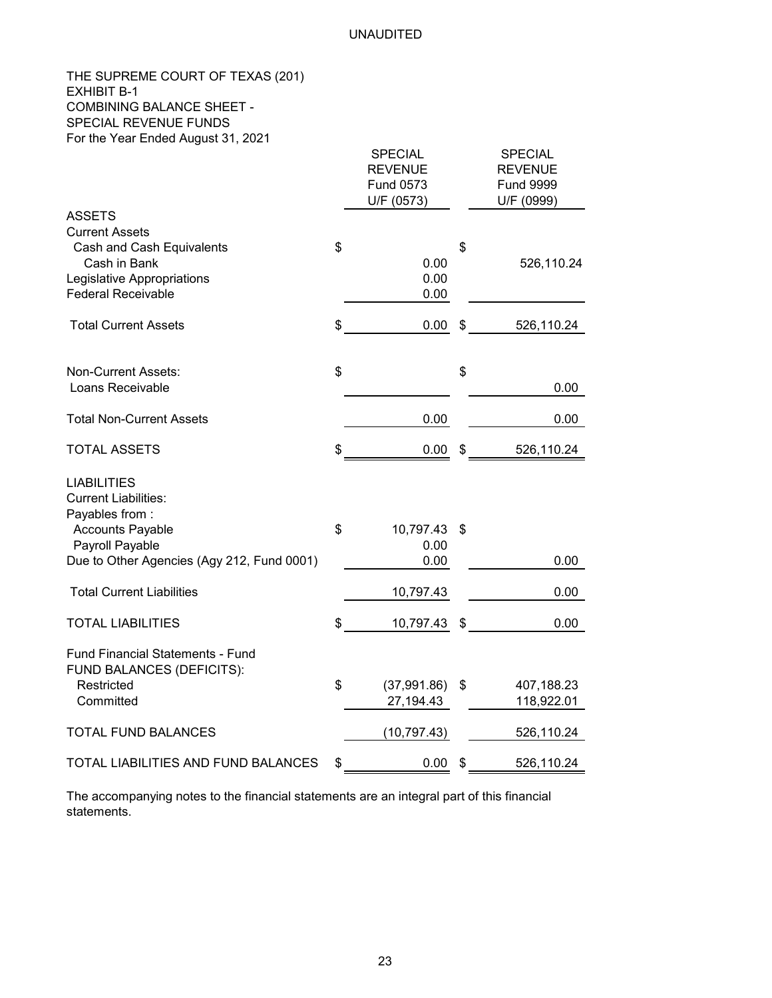### THE SUPREME COURT OF TEXAS (201) EXHIBIT B-1 COMBINING BALANCE SHEET - SPECIAL REVENUE FUNDS For the Year Ended August 31, 2021

|                                                                      | <b>SPECIAL</b><br><b>REVENUE</b><br>Fund 0573<br>U/F (0573) | <b>SPECIAL</b><br><b>REVENUE</b><br><b>Fund 9999</b><br>U/F (0999) |
|----------------------------------------------------------------------|-------------------------------------------------------------|--------------------------------------------------------------------|
| <b>ASSETS</b>                                                        |                                                             |                                                                    |
| <b>Current Assets</b>                                                |                                                             |                                                                    |
| Cash and Cash Equivalents                                            | \$                                                          | \$                                                                 |
| Cash in Bank                                                         | 0.00                                                        | 526,110.24                                                         |
| Legislative Appropriations                                           | 0.00                                                        |                                                                    |
| <b>Federal Receivable</b>                                            | 0.00                                                        |                                                                    |
| <b>Total Current Assets</b>                                          | \$<br>0.00                                                  | \$<br>526,110.24                                                   |
| <b>Non-Current Assets:</b>                                           | \$                                                          | \$                                                                 |
| Loans Receivable                                                     |                                                             | 0.00                                                               |
| <b>Total Non-Current Assets</b>                                      | 0.00                                                        | 0.00                                                               |
| <b>TOTAL ASSETS</b>                                                  | \$<br>0.00                                                  | \$<br>526,110.24                                                   |
| <b>LIABILITIES</b>                                                   |                                                             |                                                                    |
| <b>Current Liabilities:</b>                                          |                                                             |                                                                    |
| Payables from:                                                       |                                                             |                                                                    |
| <b>Accounts Payable</b>                                              | \$<br>10,797.43                                             | \$                                                                 |
| Payroll Payable                                                      | 0.00                                                        |                                                                    |
| Due to Other Agencies (Agy 212, Fund 0001)                           | 0.00                                                        | 0.00                                                               |
| <b>Total Current Liabilities</b>                                     | 10,797.43                                                   | 0.00                                                               |
| <b>TOTAL LIABILITIES</b>                                             | \$<br>10,797.43                                             | \$<br>0.00                                                         |
| <b>Fund Financial Statements - Fund</b><br>FUND BALANCES (DEFICITS): |                                                             |                                                                    |
| Restricted                                                           | \$<br>(37,991.86)                                           | \$<br>407,188.23                                                   |
| Committed                                                            | 27,194.43                                                   | 118,922.01                                                         |
| TOTAL FUND BALANCES                                                  | (10, 797.43)                                                | 526,110.24                                                         |
| TOTAL LIABILITIES AND FUND BALANCES                                  | \$<br>0.00                                                  | \$<br>526,110.24                                                   |

The accompanying notes to the financial statements are an integral part of this financial statements.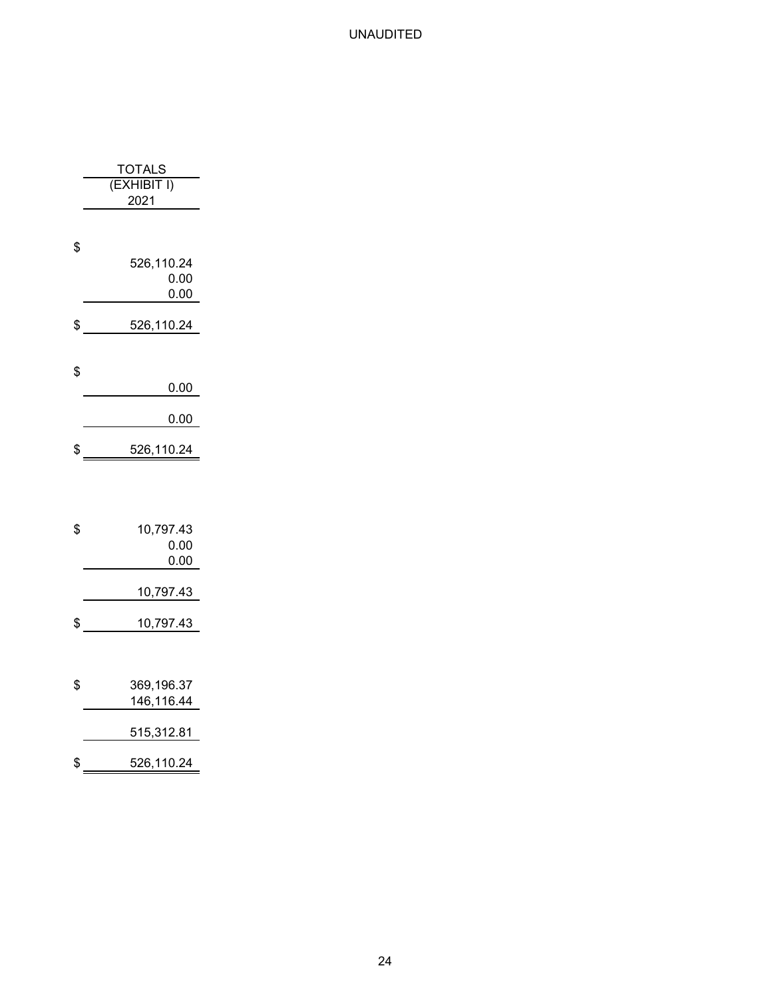| TOTALS                           |
|----------------------------------|
| (EXHIBIT I)                      |
| 2021                             |
| \$<br>526,110.24<br>0.00<br>0.00 |
| $$ \_526,110.24$                 |
| \$<br>0.00                       |
| $0.00\,$                         |
| \$<br>526,110.24                 |
| \$<br>10,797.43<br>0.00<br>0.00  |
| 10,797.43                        |
| \$<br>10,797.43                  |
| \$<br>369,196.37<br>146,116.44   |
| 515,312.81                       |
| \$<br>526,110.24                 |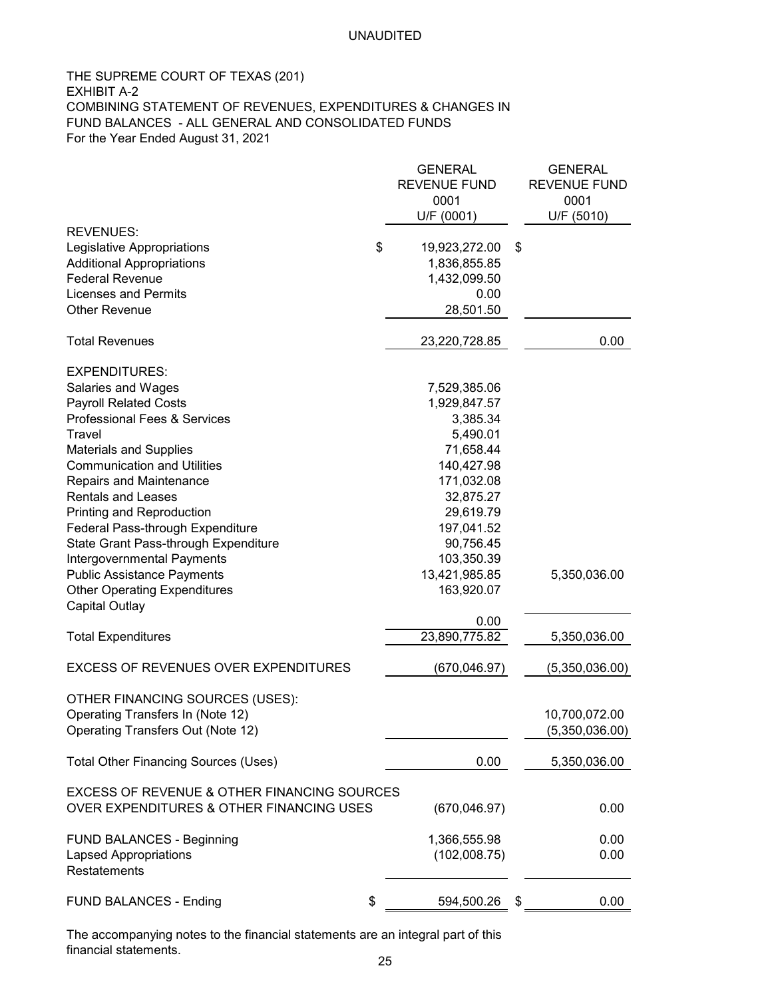### THE SUPREME COURT OF TEXAS (201) EXHIBIT A-2 COMBINING STATEMENT OF REVENUES, EXPENDITURES & CHANGES IN FUND BALANCES - ALL GENERAL AND CONSOLIDATED FUNDS For the Year Ended August 31, 2021

| U/F (0001)<br>U/F (5010)<br><b>REVENUES:</b><br>\$<br>Legislative Appropriations<br>19,923,272.00<br>\$<br><b>Additional Appropriations</b><br>1,836,855.85<br><b>Federal Revenue</b><br>1,432,099.50<br><b>Licenses and Permits</b><br>0.00<br><b>Other Revenue</b><br>28,501.50<br><b>Total Revenues</b><br>23,220,728.85<br><b>EXPENDITURES:</b><br>Salaries and Wages<br>7,529,385.06<br><b>Payroll Related Costs</b><br>1,929,847.57<br>Professional Fees & Services<br>3,385.34<br>5,490.01<br>Travel<br><b>Materials and Supplies</b><br>71,658.44<br><b>Communication and Utilities</b><br>140,427.98<br><b>Repairs and Maintenance</b><br>171,032.08<br><b>Rentals and Leases</b><br>32,875.27<br>Printing and Reproduction<br>29,619.79<br>Federal Pass-through Expenditure<br>197,041.52<br>State Grant Pass-through Expenditure<br>90,756.45<br>Intergovernmental Payments<br>103,350.39<br>13,421,985.85<br><b>Public Assistance Payments</b><br>5,350,036.00<br><b>Other Operating Expenditures</b><br>163,920.07<br><b>Capital Outlay</b><br>0.00<br>23,890,775.82<br><b>Total Expenditures</b><br><b>EXCESS OF REVENUES OVER EXPENDITURES</b><br>(670, 046.97)<br>OTHER FINANCING SOURCES (USES):<br>Operating Transfers In (Note 12)<br>Operating Transfers Out (Note 12)<br><b>Total Other Financing Sources (Uses)</b><br>0.00<br><b>EXCESS OF REVENUE &amp; OTHER FINANCING SOURCES</b><br>OVER EXPENDITURES & OTHER FINANCING USES<br>(670, 046.97)<br><b>FUND BALANCES - Beginning</b><br>1,366,555.98<br>(102,008.75)<br><b>Lapsed Appropriations</b><br>Restatements |  | <b>GENERAL</b><br><b>REVENUE FUND</b> | <b>GENERAL</b><br><b>REVENUE FUND</b> |
|----------------------------------------------------------------------------------------------------------------------------------------------------------------------------------------------------------------------------------------------------------------------------------------------------------------------------------------------------------------------------------------------------------------------------------------------------------------------------------------------------------------------------------------------------------------------------------------------------------------------------------------------------------------------------------------------------------------------------------------------------------------------------------------------------------------------------------------------------------------------------------------------------------------------------------------------------------------------------------------------------------------------------------------------------------------------------------------------------------------------------------------------------------------------------------------------------------------------------------------------------------------------------------------------------------------------------------------------------------------------------------------------------------------------------------------------------------------------------------------------------------------------------------------------------------------------------------------------|--|---------------------------------------|---------------------------------------|
|                                                                                                                                                                                                                                                                                                                                                                                                                                                                                                                                                                                                                                                                                                                                                                                                                                                                                                                                                                                                                                                                                                                                                                                                                                                                                                                                                                                                                                                                                                                                                                                              |  | 0001                                  | 0001                                  |
|                                                                                                                                                                                                                                                                                                                                                                                                                                                                                                                                                                                                                                                                                                                                                                                                                                                                                                                                                                                                                                                                                                                                                                                                                                                                                                                                                                                                                                                                                                                                                                                              |  |                                       |                                       |
|                                                                                                                                                                                                                                                                                                                                                                                                                                                                                                                                                                                                                                                                                                                                                                                                                                                                                                                                                                                                                                                                                                                                                                                                                                                                                                                                                                                                                                                                                                                                                                                              |  |                                       |                                       |
|                                                                                                                                                                                                                                                                                                                                                                                                                                                                                                                                                                                                                                                                                                                                                                                                                                                                                                                                                                                                                                                                                                                                                                                                                                                                                                                                                                                                                                                                                                                                                                                              |  |                                       |                                       |
|                                                                                                                                                                                                                                                                                                                                                                                                                                                                                                                                                                                                                                                                                                                                                                                                                                                                                                                                                                                                                                                                                                                                                                                                                                                                                                                                                                                                                                                                                                                                                                                              |  |                                       |                                       |
|                                                                                                                                                                                                                                                                                                                                                                                                                                                                                                                                                                                                                                                                                                                                                                                                                                                                                                                                                                                                                                                                                                                                                                                                                                                                                                                                                                                                                                                                                                                                                                                              |  |                                       |                                       |
|                                                                                                                                                                                                                                                                                                                                                                                                                                                                                                                                                                                                                                                                                                                                                                                                                                                                                                                                                                                                                                                                                                                                                                                                                                                                                                                                                                                                                                                                                                                                                                                              |  |                                       |                                       |
|                                                                                                                                                                                                                                                                                                                                                                                                                                                                                                                                                                                                                                                                                                                                                                                                                                                                                                                                                                                                                                                                                                                                                                                                                                                                                                                                                                                                                                                                                                                                                                                              |  |                                       | 0.00                                  |
|                                                                                                                                                                                                                                                                                                                                                                                                                                                                                                                                                                                                                                                                                                                                                                                                                                                                                                                                                                                                                                                                                                                                                                                                                                                                                                                                                                                                                                                                                                                                                                                              |  |                                       |                                       |
|                                                                                                                                                                                                                                                                                                                                                                                                                                                                                                                                                                                                                                                                                                                                                                                                                                                                                                                                                                                                                                                                                                                                                                                                                                                                                                                                                                                                                                                                                                                                                                                              |  |                                       |                                       |
|                                                                                                                                                                                                                                                                                                                                                                                                                                                                                                                                                                                                                                                                                                                                                                                                                                                                                                                                                                                                                                                                                                                                                                                                                                                                                                                                                                                                                                                                                                                                                                                              |  |                                       |                                       |
|                                                                                                                                                                                                                                                                                                                                                                                                                                                                                                                                                                                                                                                                                                                                                                                                                                                                                                                                                                                                                                                                                                                                                                                                                                                                                                                                                                                                                                                                                                                                                                                              |  |                                       |                                       |
|                                                                                                                                                                                                                                                                                                                                                                                                                                                                                                                                                                                                                                                                                                                                                                                                                                                                                                                                                                                                                                                                                                                                                                                                                                                                                                                                                                                                                                                                                                                                                                                              |  |                                       |                                       |
|                                                                                                                                                                                                                                                                                                                                                                                                                                                                                                                                                                                                                                                                                                                                                                                                                                                                                                                                                                                                                                                                                                                                                                                                                                                                                                                                                                                                                                                                                                                                                                                              |  |                                       |                                       |
|                                                                                                                                                                                                                                                                                                                                                                                                                                                                                                                                                                                                                                                                                                                                                                                                                                                                                                                                                                                                                                                                                                                                                                                                                                                                                                                                                                                                                                                                                                                                                                                              |  |                                       |                                       |
|                                                                                                                                                                                                                                                                                                                                                                                                                                                                                                                                                                                                                                                                                                                                                                                                                                                                                                                                                                                                                                                                                                                                                                                                                                                                                                                                                                                                                                                                                                                                                                                              |  |                                       |                                       |
|                                                                                                                                                                                                                                                                                                                                                                                                                                                                                                                                                                                                                                                                                                                                                                                                                                                                                                                                                                                                                                                                                                                                                                                                                                                                                                                                                                                                                                                                                                                                                                                              |  |                                       |                                       |
|                                                                                                                                                                                                                                                                                                                                                                                                                                                                                                                                                                                                                                                                                                                                                                                                                                                                                                                                                                                                                                                                                                                                                                                                                                                                                                                                                                                                                                                                                                                                                                                              |  |                                       |                                       |
|                                                                                                                                                                                                                                                                                                                                                                                                                                                                                                                                                                                                                                                                                                                                                                                                                                                                                                                                                                                                                                                                                                                                                                                                                                                                                                                                                                                                                                                                                                                                                                                              |  |                                       |                                       |
|                                                                                                                                                                                                                                                                                                                                                                                                                                                                                                                                                                                                                                                                                                                                                                                                                                                                                                                                                                                                                                                                                                                                                                                                                                                                                                                                                                                                                                                                                                                                                                                              |  |                                       |                                       |
|                                                                                                                                                                                                                                                                                                                                                                                                                                                                                                                                                                                                                                                                                                                                                                                                                                                                                                                                                                                                                                                                                                                                                                                                                                                                                                                                                                                                                                                                                                                                                                                              |  |                                       |                                       |
|                                                                                                                                                                                                                                                                                                                                                                                                                                                                                                                                                                                                                                                                                                                                                                                                                                                                                                                                                                                                                                                                                                                                                                                                                                                                                                                                                                                                                                                                                                                                                                                              |  |                                       |                                       |
|                                                                                                                                                                                                                                                                                                                                                                                                                                                                                                                                                                                                                                                                                                                                                                                                                                                                                                                                                                                                                                                                                                                                                                                                                                                                                                                                                                                                                                                                                                                                                                                              |  |                                       |                                       |
|                                                                                                                                                                                                                                                                                                                                                                                                                                                                                                                                                                                                                                                                                                                                                                                                                                                                                                                                                                                                                                                                                                                                                                                                                                                                                                                                                                                                                                                                                                                                                                                              |  |                                       | 5,350,036.00                          |
|                                                                                                                                                                                                                                                                                                                                                                                                                                                                                                                                                                                                                                                                                                                                                                                                                                                                                                                                                                                                                                                                                                                                                                                                                                                                                                                                                                                                                                                                                                                                                                                              |  |                                       | (5,350,036.00)                        |
|                                                                                                                                                                                                                                                                                                                                                                                                                                                                                                                                                                                                                                                                                                                                                                                                                                                                                                                                                                                                                                                                                                                                                                                                                                                                                                                                                                                                                                                                                                                                                                                              |  |                                       |                                       |
|                                                                                                                                                                                                                                                                                                                                                                                                                                                                                                                                                                                                                                                                                                                                                                                                                                                                                                                                                                                                                                                                                                                                                                                                                                                                                                                                                                                                                                                                                                                                                                                              |  |                                       | 10,700,072.00                         |
|                                                                                                                                                                                                                                                                                                                                                                                                                                                                                                                                                                                                                                                                                                                                                                                                                                                                                                                                                                                                                                                                                                                                                                                                                                                                                                                                                                                                                                                                                                                                                                                              |  |                                       | (5,350,036.00)                        |
|                                                                                                                                                                                                                                                                                                                                                                                                                                                                                                                                                                                                                                                                                                                                                                                                                                                                                                                                                                                                                                                                                                                                                                                                                                                                                                                                                                                                                                                                                                                                                                                              |  |                                       | 5,350,036.00                          |
|                                                                                                                                                                                                                                                                                                                                                                                                                                                                                                                                                                                                                                                                                                                                                                                                                                                                                                                                                                                                                                                                                                                                                                                                                                                                                                                                                                                                                                                                                                                                                                                              |  |                                       | 0.00                                  |
|                                                                                                                                                                                                                                                                                                                                                                                                                                                                                                                                                                                                                                                                                                                                                                                                                                                                                                                                                                                                                                                                                                                                                                                                                                                                                                                                                                                                                                                                                                                                                                                              |  |                                       | 0.00                                  |
|                                                                                                                                                                                                                                                                                                                                                                                                                                                                                                                                                                                                                                                                                                                                                                                                                                                                                                                                                                                                                                                                                                                                                                                                                                                                                                                                                                                                                                                                                                                                                                                              |  |                                       | 0.00                                  |
| \$<br><b>FUND BALANCES - Ending</b><br>594,500.26<br>\$                                                                                                                                                                                                                                                                                                                                                                                                                                                                                                                                                                                                                                                                                                                                                                                                                                                                                                                                                                                                                                                                                                                                                                                                                                                                                                                                                                                                                                                                                                                                      |  |                                       | 0.00                                  |

The accompanying notes to the financial statements are an integral part of this financial statements.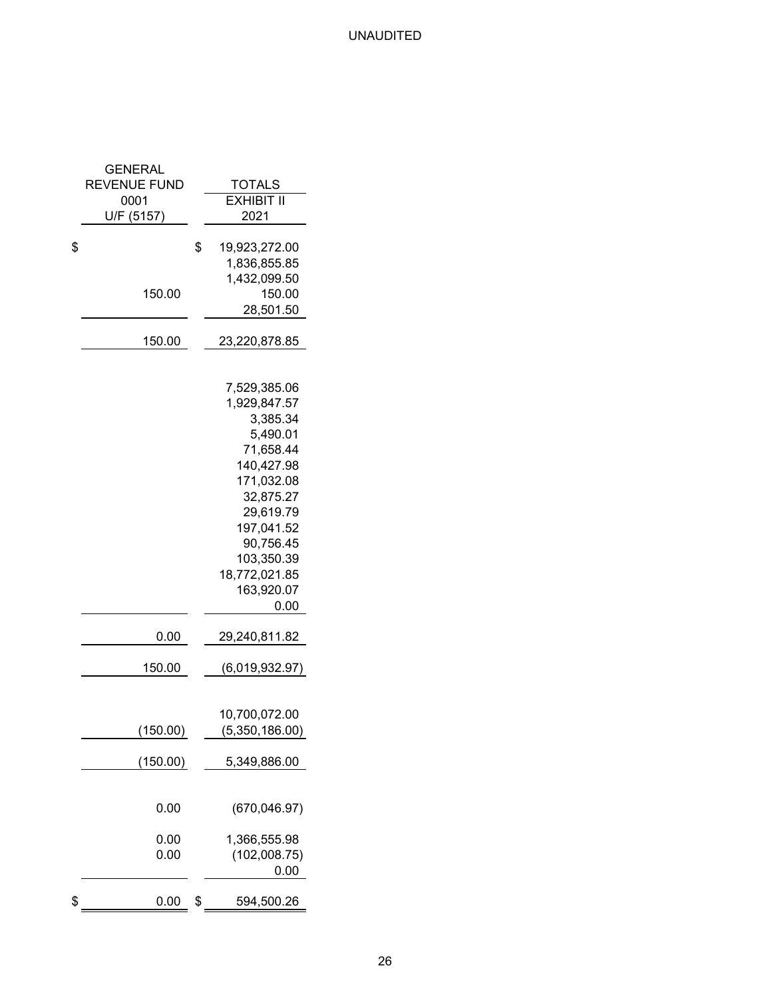| GENERAL             |                      |
|---------------------|----------------------|
| <b>REVENUE FUND</b> | TOTALS               |
| 0001                | <b>EXHIBIT II</b>    |
| U/F (5157)          | 2021                 |
| \$                  | \$<br>19,923,272.00  |
|                     | 1,836,855.85         |
|                     | 1,432,099.50         |
|                     | 150.00               |
| 150.00              |                      |
|                     | 28,501.50            |
| 150.00              | 23,220,878.85        |
|                     |                      |
|                     | 7,529,385.06         |
|                     | 1,929,847.57         |
|                     | 3,385.34             |
|                     | 5,490.01             |
|                     | 71,658.44            |
|                     | 140,427.98           |
|                     | 171,032.08           |
|                     | 32,875.27            |
|                     | 29,619.79            |
|                     | 197,041.52           |
|                     | 90,756.45            |
|                     | 103,350.39           |
|                     | 18,772,021.85        |
|                     | 163,920.07           |
|                     | 0.00                 |
| 0.00                | 29,240,811.82        |
|                     |                      |
| 150.00              | (6,019,932.97)       |
|                     |                      |
|                     | 10,700,072.00        |
| (150.00)            | (5,350,186.00)       |
| (150.00)            | 5,349,886.00         |
| 0.00                | (670, 046.97)        |
|                     |                      |
| 0.00                | 1,366,555.98         |
| 0.00                | (102,008.75)<br>0.00 |
|                     |                      |
| \$<br>0.00          | \$<br>594,500.26     |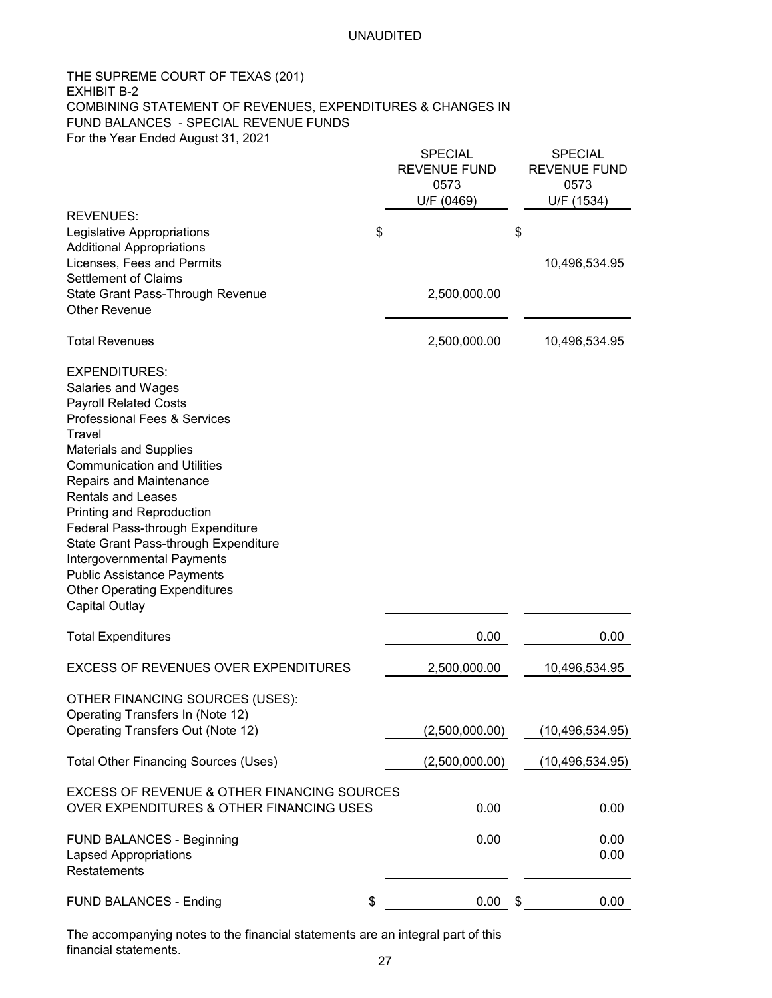### THE SUPREME COURT OF TEXAS (201) EXHIBIT B-2 COMBINING STATEMENT OF REVENUES, EXPENDITURES & CHANGES IN FUND BALANCES - SPECIAL REVENUE FUNDS For the Year Ended August 31, 2021

|                                                                                                    | SPECIAL<br><b>REVENUE FUND</b><br>0573<br>U/F (0469) | <b>SPECIAL</b><br><b>REVENUE FUND</b><br>0573<br>U/F (1534) |
|----------------------------------------------------------------------------------------------------|------------------------------------------------------|-------------------------------------------------------------|
| <b>REVENUES:</b>                                                                                   |                                                      |                                                             |
| Legislative Appropriations<br><b>Additional Appropriations</b>                                     | \$                                                   | \$                                                          |
| Licenses, Fees and Permits                                                                         |                                                      | 10,496,534.95                                               |
| <b>Settlement of Claims</b>                                                                        |                                                      |                                                             |
| State Grant Pass-Through Revenue                                                                   | 2,500,000.00                                         |                                                             |
| <b>Other Revenue</b>                                                                               |                                                      |                                                             |
| <b>Total Revenues</b>                                                                              | 2,500,000.00                                         | 10,496,534.95                                               |
| <b>EXPENDITURES:</b>                                                                               |                                                      |                                                             |
| Salaries and Wages                                                                                 |                                                      |                                                             |
| <b>Payroll Related Costs</b>                                                                       |                                                      |                                                             |
| <b>Professional Fees &amp; Services</b>                                                            |                                                      |                                                             |
| Travel                                                                                             |                                                      |                                                             |
| <b>Materials and Supplies</b><br><b>Communication and Utilities</b>                                |                                                      |                                                             |
| Repairs and Maintenance                                                                            |                                                      |                                                             |
| <b>Rentals and Leases</b>                                                                          |                                                      |                                                             |
| Printing and Reproduction                                                                          |                                                      |                                                             |
| Federal Pass-through Expenditure                                                                   |                                                      |                                                             |
| State Grant Pass-through Expenditure                                                               |                                                      |                                                             |
| Intergovernmental Payments                                                                         |                                                      |                                                             |
| <b>Public Assistance Payments</b><br><b>Other Operating Expenditures</b>                           |                                                      |                                                             |
| <b>Capital Outlay</b>                                                                              |                                                      |                                                             |
|                                                                                                    |                                                      |                                                             |
| <b>Total Expenditures</b>                                                                          | 0.00                                                 | 0.00                                                        |
| <b>EXCESS OF REVENUES OVER EXPENDITURES</b>                                                        | 2,500,000.00                                         | 10,496,534.95                                               |
| OTHER FINANCING SOURCES (USES):                                                                    |                                                      |                                                             |
| Operating Transfers In (Note 12)                                                                   |                                                      |                                                             |
| Operating Transfers Out (Note 12)                                                                  | (2,500,000.00)                                       | (10, 496, 534.95)                                           |
| <b>Total Other Financing Sources (Uses)</b>                                                        | (2,500,000.00)                                       | (10, 496, 534.95)                                           |
| <b>EXCESS OF REVENUE &amp; OTHER FINANCING SOURCES</b><br>OVER EXPENDITURES & OTHER FINANCING USES | 0.00                                                 | 0.00                                                        |
|                                                                                                    |                                                      |                                                             |
| <b>FUND BALANCES - Beginning</b>                                                                   | 0.00                                                 | 0.00                                                        |
| <b>Lapsed Appropriations</b>                                                                       |                                                      | 0.00                                                        |
| Restatements                                                                                       |                                                      |                                                             |
| <b>FUND BALANCES - Ending</b>                                                                      | \$<br>0.00                                           | \$<br>0.00                                                  |
|                                                                                                    |                                                      |                                                             |

The accompanying notes to the financial statements are an integral part of this financial statements.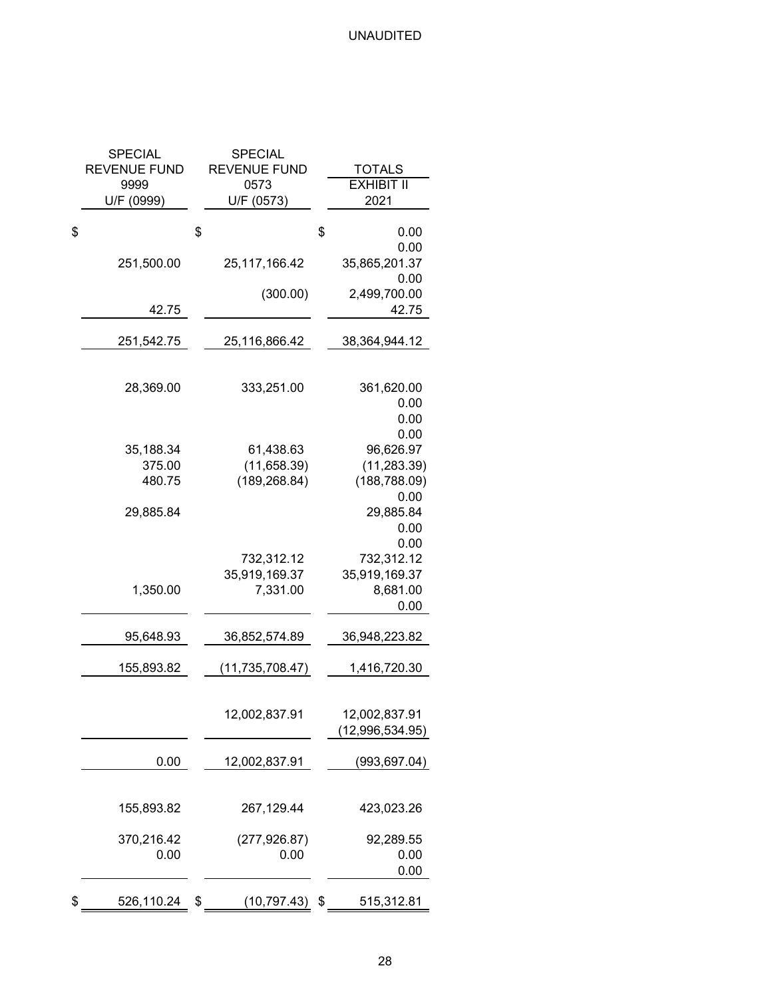| <b>SPECIAL</b><br><b>REVENUE FUND</b><br>9999 | SPECIAL<br><b>REVENUE FUND</b><br>0573    | <b>TOTALS</b><br><b>EXHIBIT II</b>                         |
|-----------------------------------------------|-------------------------------------------|------------------------------------------------------------|
| U/F (0999)                                    | U/F (0573)                                | 2021                                                       |
| \$                                            | \$                                        | \$<br>0.00<br>0.00                                         |
| 251,500.00                                    | 25, 117, 166. 42                          | 35,865,201.37<br>0.00                                      |
| 42.75                                         | (300.00)                                  | 2,499,700.00<br>42.75                                      |
| 251,542.75                                    | 25,116,866.42                             | 38,364,944.12                                              |
| 28,369.00                                     | 333,251.00                                | 361,620.00<br>0.00<br>0.00                                 |
| 35,188.34<br>375.00<br>480.75                 | 61,438.63<br>(11,658.39)<br>(189, 268.84) | 0.00<br>96,626.97<br>(11, 283.39)<br>(188, 788.09)<br>0.00 |
| 29,885.84                                     |                                           | 29,885.84<br>0.00<br>0.00                                  |
| 1,350.00                                      | 732,312.12<br>35,919,169.37<br>7,331.00   | 732,312.12<br>35,919,169.37<br>8,681.00<br>0.00            |
| 95,648.93                                     | 36,852,574.89                             | 36,948,223.82                                              |
| 155,893.82                                    | (11, 735, 708.47)                         | 1,416,720.30                                               |
|                                               | 12,002,837.91                             | 12,002,837.91<br>(12,996,534.95)                           |
| 0.00                                          | 12,002,837.91                             | (993, 697.04)                                              |
| 155,893.82                                    | 267,129.44                                | 423,023.26                                                 |
| 370,216.42<br>0.00                            | (277, 926.87)<br>0.00                     | 92,289.55<br>0.00                                          |
|                                               |                                           | 0.00                                                       |
| \$<br>526,110.24                              | \$<br>(10,797.43)                         | \$<br>515,312.81                                           |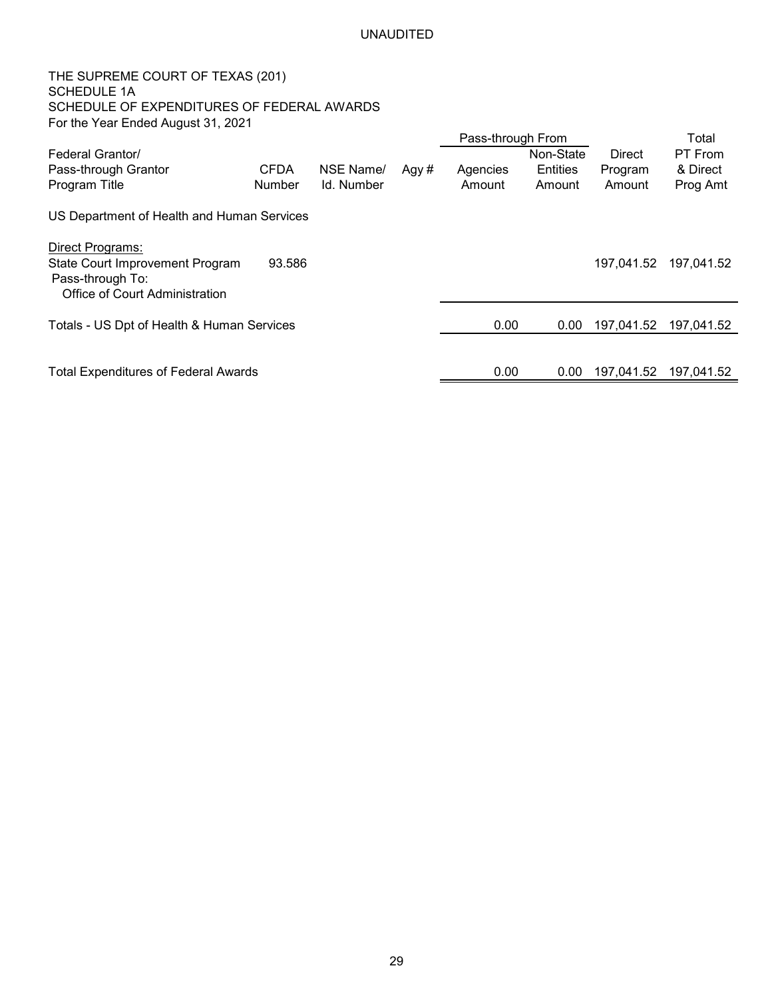THE SUPREME COURT OF TEXAS (201) SCHEDULE 1A SCHEDULE OF EXPENDITURES OF FEDERAL AWARDS For the Year Ended August 31, 2021

|                                             |               |            |      | Pass-through From |           |            | Total      |
|---------------------------------------------|---------------|------------|------|-------------------|-----------|------------|------------|
| Federal Grantor/                            |               |            |      |                   | Non-State | Direct     | PT From    |
| Pass-through Grantor                        | <b>CFDA</b>   | NSE Name/  | Agy# | Agencies          | Entities  | Program    | & Direct   |
| Program Title                               | <b>Number</b> | Id. Number |      | Amount            | Amount    | Amount     | Prog Amt   |
| US Department of Health and Human Services  |               |            |      |                   |           |            |            |
| Direct Programs:                            |               |            |      |                   |           |            |            |
| State Court Improvement Program             | 93.586        |            |      |                   |           | 197,041.52 | 197,041.52 |
| Pass-through To:                            |               |            |      |                   |           |            |            |
| Office of Court Administration              |               |            |      |                   |           |            |            |
| Totals - US Dpt of Health & Human Services  |               |            |      | 0.00              | 0.00      | 197,041.52 | 197,041.52 |
|                                             |               |            |      |                   |           |            |            |
| <b>Total Expenditures of Federal Awards</b> |               |            |      | 0.00              | 0.00      | 197,041.52 | 197,041.52 |
|                                             |               |            |      |                   |           |            |            |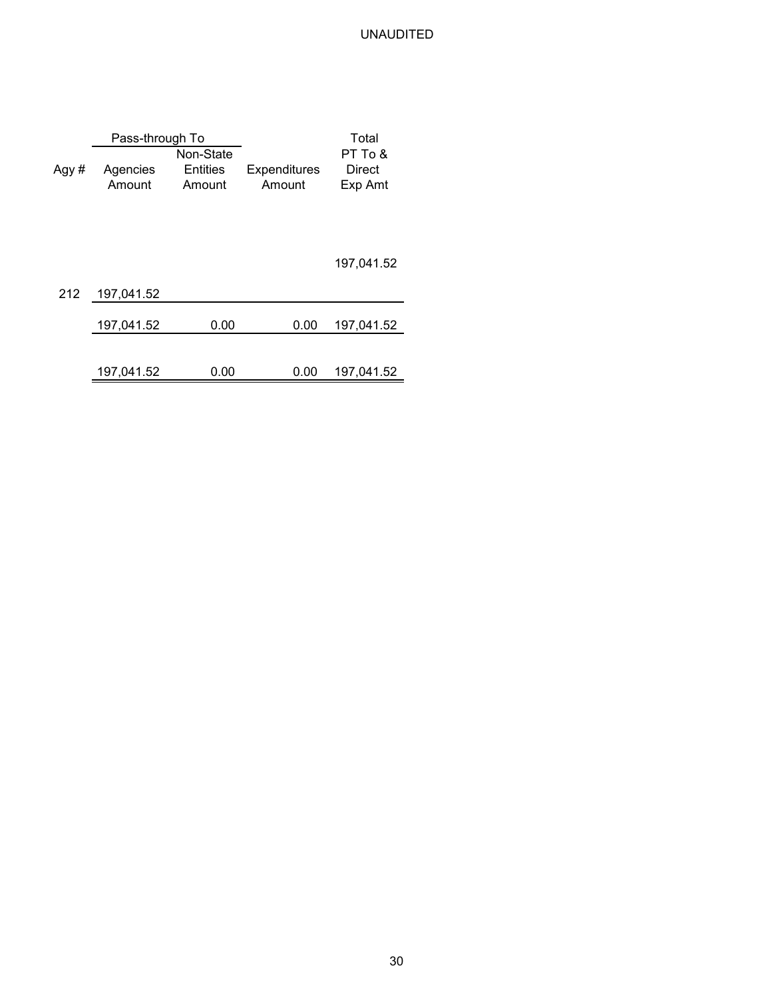|      | Pass-through To |                 |                     | Total      |
|------|-----------------|-----------------|---------------------|------------|
|      |                 | Non-State       |                     | PT To &    |
| Agy# | Agencies        | <b>Entities</b> | <b>Expenditures</b> | Direct     |
|      | Amount          | Amount          | Amount              | Exp Amt    |
|      |                 |                 |                     |            |
|      |                 |                 |                     | 197,041.52 |
| 212  | 197,041.52      |                 |                     |            |
|      | 197,041.52      | 0.00            | 0.00                | 197,041.52 |
|      |                 |                 |                     |            |
|      | 197,041.52      | 0.00            | 0.00                | 197,041.52 |